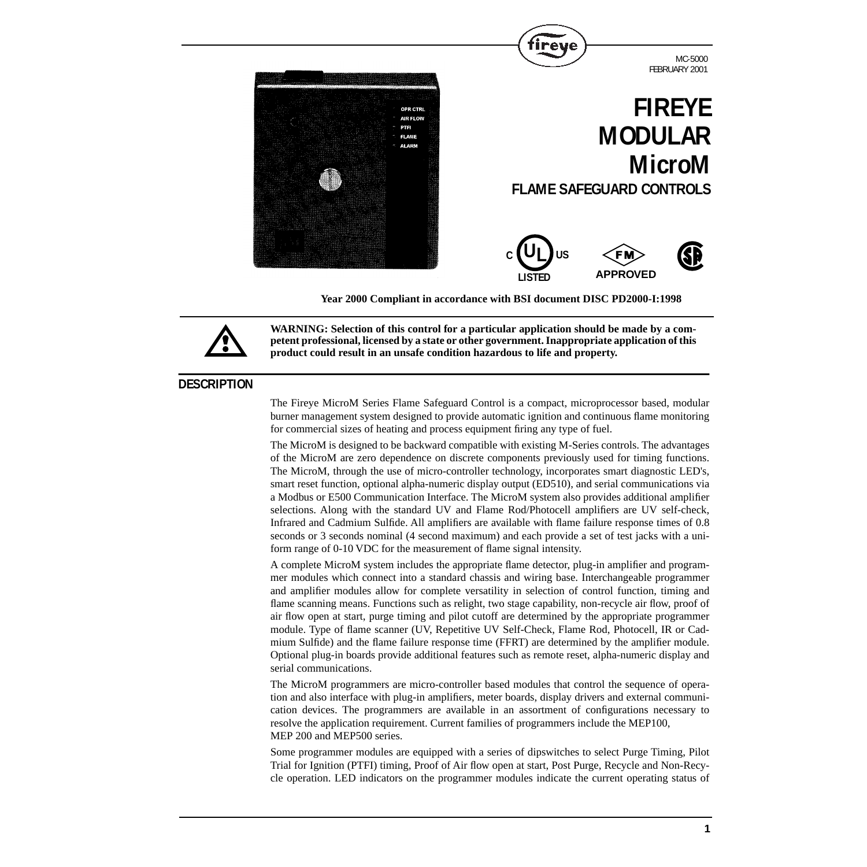

**Year 2000 Compliant in accordance with BSI document DISC PD2000-I:1998**



**WARNING: Selection of this control for a particular application should be made by a competent professional, licensed by a state or other government. Inappropriate application of this product could result in an unsafe condition hazardous to life and property.**

# **DESCRIPTION**

The Fireye MicroM Series Flame Safeguard Control is a compact, microprocessor based, modular burner management system designed to provide automatic ignition and continuous flame monitoring for commercial sizes of heating and process equipment firing any type of fuel.

The MicroM is designed to be backward compatible with existing M-Series controls. The advantages of the MicroM are zero dependence on discrete components previously used for timing functions. The MicroM, through the use of micro-controller technology, incorporates smart diagnostic LED's, smart reset function, optional alpha-numeric display output (ED510), and serial communications via a Modbus or E500 Communication Interface. The MicroM system also provides additional amplifier selections. Along with the standard UV and Flame Rod/Photocell amplifiers are UV self-check, Infrared and Cadmium Sulfide. All amplifiers are available with flame failure response times of 0.8 seconds or 3 seconds nominal (4 second maximum) and each provide a set of test jacks with a uniform range of 0-10 VDC for the measurement of flame signal intensity.

A complete MicroM system includes the appropriate flame detector, plug-in amplifier and programmer modules which connect into a standard chassis and wiring base. Interchangeable programmer and amplifier modules allow for complete versatility in selection of control function, timing and flame scanning means. Functions such as relight, two stage capability, non-recycle air flow, proof of air flow open at start, purge timing and pilot cutoff are determined by the appropriate programmer module. Type of flame scanner (UV, Repetitive UV Self-Check, Flame Rod, Photocell, IR or Cadmium Sulfide) and the flame failure response time (FFRT) are determined by the amplifier module. Optional plug-in boards provide additional features such as remote reset, alpha-numeric display and serial communications.

The MicroM programmers are micro-controller based modules that control the sequence of operation and also interface with plug-in amplifiers, meter boards, display drivers and external communication devices. The programmers are available in an assortment of configurations necessary to resolve the application requirement. Current families of programmers include the MEP100, MEP 200 and MEP500 series.

Some programmer modules are equipped with a series of dipswitches to select Purge Timing, Pilot Trial for Ignition (PTFI) timing, Proof of Air flow open at start, Post Purge, Recycle and Non-Recycle operation. LED indicators on the programmer modules indicate the current operating status of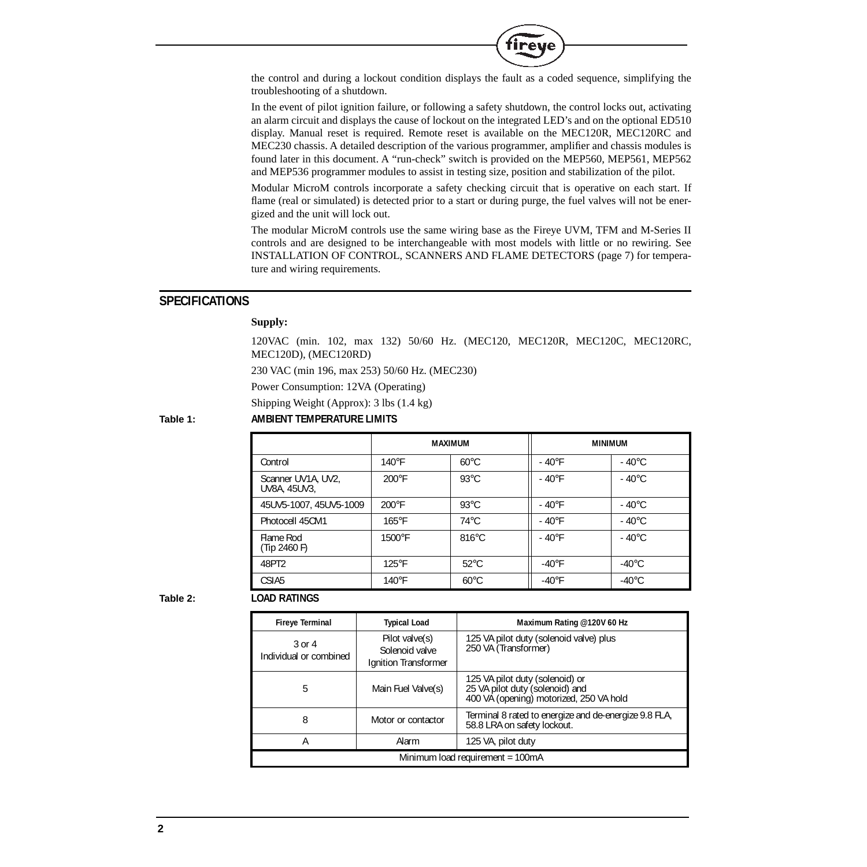

the control and during a lockout condition displays the fault as a coded sequence, simplifying the troubleshooting of a shutdown.

In the event of pilot ignition failure, or following a safety shutdown, the control locks out, activating an alarm circuit and displays the cause of lockout on the integrated LED's and on the optional ED510 display. Manual reset is required. Remote reset is available on the MEC120R, MEC120RC and MEC230 chassis. A detailed description of the various programmer, amplifier and chassis modules is found later in this document. A "run-check" switch is provided on the MEP560, MEP561, MEP562 and MEP536 programmer modules to assist in testing size, position and stabilization of the pilot.

Modular MicroM controls incorporate a safety checking circuit that is operative on each start. If flame (real or simulated) is detected prior to a start or during purge, the fuel valves will not be energized and the unit will lock out.

The modular MicroM controls use the same wiring base as the Fireye UVM, TFM and M-Series II controls and are designed to be interchangeable with most models with little or no rewiring. See INSTALLATION OF CONTROL, SCANNERS AND FLAME DETECTORS (page 7) for temperature and wiring requirements.

# **SPECIFICATIONS**

#### **Supply:**

120VAC (min. 102, max 132) 50/60 Hz. (MEC120, MEC120R, MEC120C, MEC120RC, MEC120D), (MEC120RD)

230 VAC (min 196, max 253) 50/60 Hz. (MEC230)

Power Consumption: 12VA (Operating)

Shipping Weight (Approx): 3 lbs (1.4 kg)

#### **Table 1: AMBIENT TEMPERATURE LIMITS**

|                                    | <b>MAXIMUM</b>  |                 | <b>MINIMUM</b>  |                 |  |
|------------------------------------|-----------------|-----------------|-----------------|-----------------|--|
| Control                            | 140°F           | $60^{\circ}$ C  | $-40^{\circ}$ F | $-40^{\circ}$ C |  |
| Scanner UV1A, UV2,<br>UV8A, 45UV3, | $200^{\circ}$ F | $93^{\circ}$ C  | $-40^{\circ}$ F | $-40^{\circ}$ C |  |
| 45UV5-1007, 45UV5-1009             | $200^{\circ}$ F | $93^{\circ}$ C  | $-40^{\circ}$ F | $-40^{\circ}$ C |  |
| Photocell 45CM1                    | $165^{\circ}F$  | $74^{\circ}$ C  | $-40^{\circ}$ F | $-40^{\circ}$ C |  |
| Flame Rod<br>(Tip 2460 F)          | 1500°F          | $816^{\circ}$ C | $-40^{\circ}$ F | $-40^{\circ}$ C |  |
| 48PT2                              | $125^{\circ}F$  | $52^{\circ}$ C  | $-40^{\circ}$ F | $-40^{\circ}$ C |  |
| CSIA <sub>5</sub>                  | $140^{\circ}$ F | $60^{\circ}$ C  | $-40^{\circ}$ F | $-40^{\circ}$ C |  |

#### **Table 2: LOAD RATINGS**

| <b>Fireye Terminal</b>               | <b>Typical Load</b>                                      | Maximum Rating @120V 60 Hz                                                                                    |  |  |  |
|--------------------------------------|----------------------------------------------------------|---------------------------------------------------------------------------------------------------------------|--|--|--|
| $3$ or $4$<br>Individual or combined | Pilot valve(s)<br>Solenoid valve<br>Ignition Transformer | 125 VA pilot duty (solenoid valve) plus<br>250 VA (Transformer)                                               |  |  |  |
| 5                                    | Main Fuel Valve(s)                                       | 125 VA pilot duty (solenoid) or<br>25 VA pilot duty (solenoid) and<br>400 VA (opening) motorized, 250 VA hold |  |  |  |
| 8                                    | Motor or contactor                                       | Terminal 8 rated to energize and de-energize 9.8 FLA,<br>58.8 LRA on safety lockout.                          |  |  |  |
| Alarm<br>А                           |                                                          | 125 VA, pilot duty                                                                                            |  |  |  |
| Minimum load requirement = 100mA     |                                                          |                                                                                                               |  |  |  |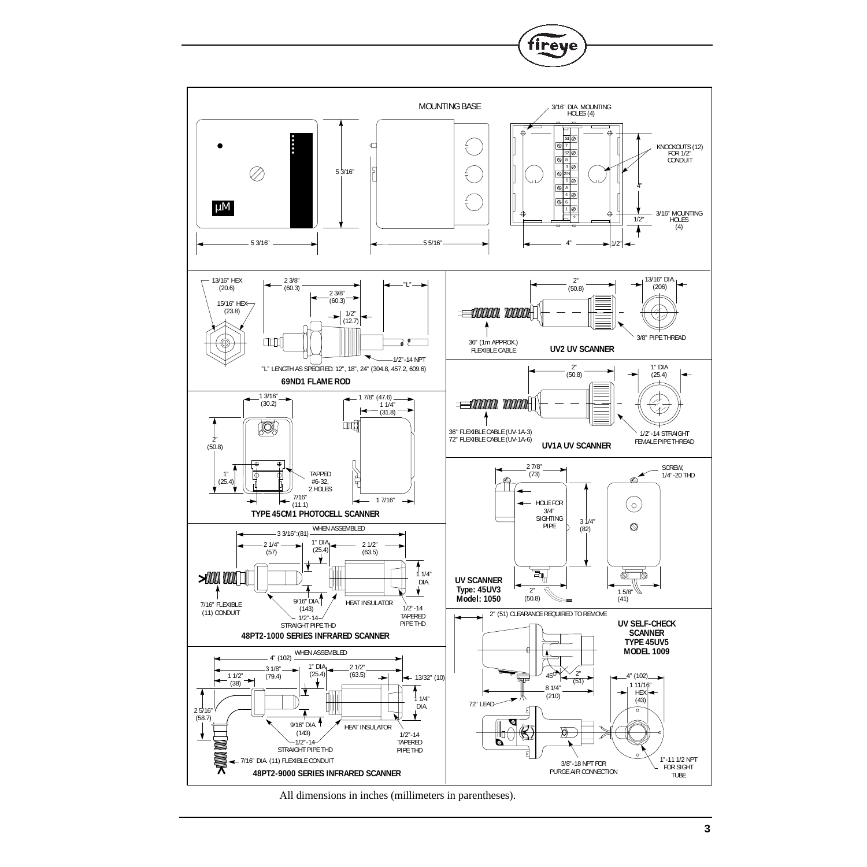

 $^\circledR$ 

rey **re** 

All dimensions in inches (millimeters in parentheses).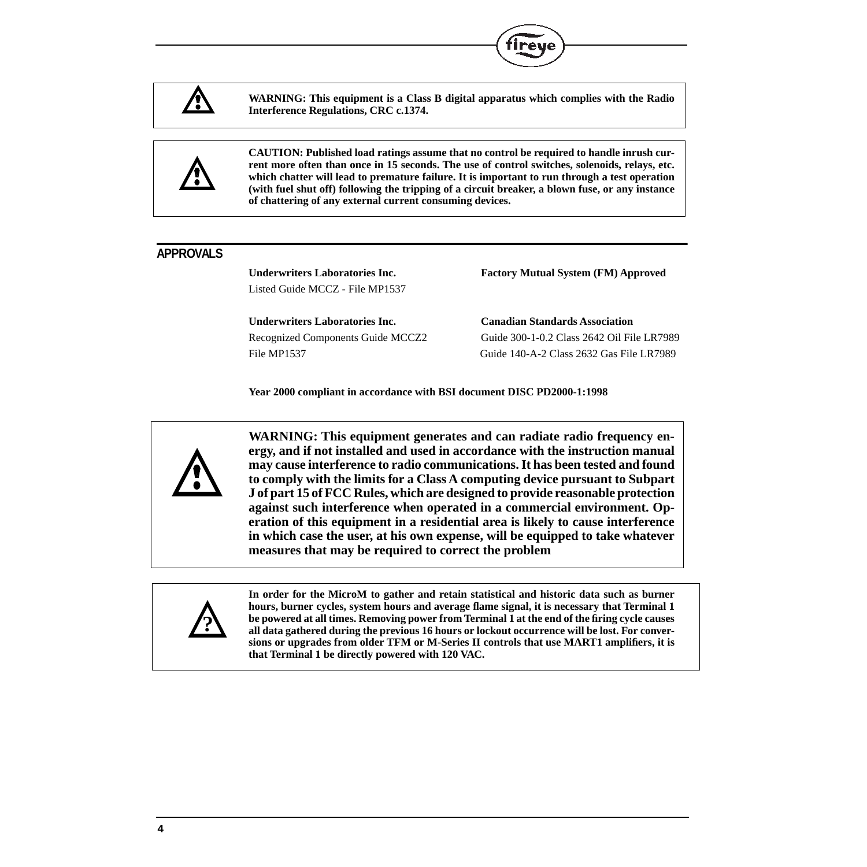

**WARNING: This equipment is a Class B digital apparatus which complies with the Radio Interference Regulations, CRC c.1374.**



**CAUTION: Published load ratings assume that no control be required to handle inrush current more often than once in 15 seconds. The use of control switches, solenoids, relays, etc. which chatter will lead to premature failure. It is important to run through a test operation (with fuel shut off) following the tripping of a circuit breaker, a blown fuse, or any instance of chattering of any external current consuming devices.**

# **APPROVALS**

Listed Guide MCCZ - File MP1537

**Underwriters Laboratories Inc. Canadian Standards Association**

**Underwriters Laboratories Inc. Factory Mutual System (FM) Approved**

(R)

Recognized Components Guide MCCZ2 Guide 300-1-0.2 Class 2642 Oil File LR7989 File MP1537 Guide 140-A-2 Class 2632 Gas File LR7989

**Year 2000 compliant in accordance with BSI document DISC PD2000-1:1998**



**WARNING: This equipment generates and can radiate radio frequency energy, and if not installed and used in accordance with the instruction manual may cause interference to radio communications. It has been tested and found to comply with the limits for a Class A computing device pursuant to Subpart J of part 15 of FCC Rules, which are designed to provide reasonable protection against such interference when operated in a commercial environment. Operation of this equipment in a residential area is likely to cause interference in which case the user, at his own expense, will be equipped to take whatever measures that may be required to correct the problem**



**In order for the MicroM to gather and retain statistical and historic data such as burner hours, burner cycles, system hours and average flame signal, it is necessary that Terminal 1 be powered at all times. Removing power from Terminal 1 at the end of the firing cycle causes all data gathered during the previous 16 hours or lockout occurrence will be lost. For conversions or upgrades from older TFM or M-Series II controls that use MART1 amplifiers, it is that Terminal 1 be directly powered with 120 VAC.**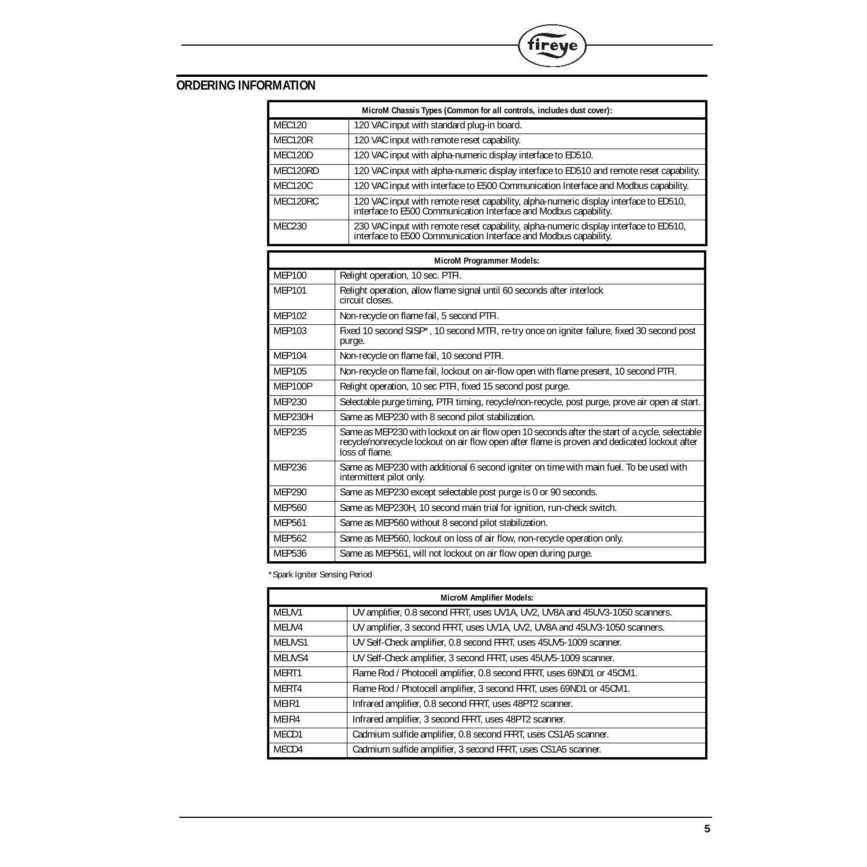# **ORDERING INFORMATION**

|               | MicroM Chassis Types (Common for all controls, includes dust cover):                                                                                                                                              |  |  |  |
|---------------|-------------------------------------------------------------------------------------------------------------------------------------------------------------------------------------------------------------------|--|--|--|
| <b>MEC120</b> | 120 VAC input with standard plug-in board.                                                                                                                                                                        |  |  |  |
| MEC120R       | 120 VAC input with remote reset capability.                                                                                                                                                                       |  |  |  |
| MEC120D       | 120 VAC input with alpha-numeric display interface to ED510.                                                                                                                                                      |  |  |  |
| MEC120RD      | 120 VAC input with alpha-numeric display interface to ED510 and remote reset capability.                                                                                                                          |  |  |  |
| MEC120C       | 120 VAC input with interface to E500 Communication Interface and Modbus capability.                                                                                                                               |  |  |  |
| MEC120RC      | 120 VAC input with remote reset capability, alpha-numeric display interface to ED510, interface to E500 Communication Interface and Modbus capability.                                                            |  |  |  |
| <b>MEC230</b> | 230 VAC input with remote reset capability, alpha-numeric display interface to ED510,<br>interface to E500 Communication Interface and Modbus capability.                                                         |  |  |  |
|               | <b>MicroM Programmer Models:</b>                                                                                                                                                                                  |  |  |  |
| <b>MEP100</b> | Relight operation, 10 sec. PTFI.                                                                                                                                                                                  |  |  |  |
| <b>MEP101</b> | Relight operation, allow flame signal until 60 seconds after interlock<br>circuit closes.                                                                                                                         |  |  |  |
| <b>MEP102</b> | Non-recycle on flame fail, 5 second PTFI.                                                                                                                                                                         |  |  |  |
| <b>MEP103</b> | Fixed 10 second SISP*, 10 second MTFI, re-try once on igniter failure, fixed 30 second post<br>purge.                                                                                                             |  |  |  |
| <b>MEP104</b> | Non-recycle on flame fail, 10 second PTFI.                                                                                                                                                                        |  |  |  |
| <b>MEP105</b> | Non-recycle on flame fail, lockout on air-flow open with flame present, 10 second PTFI.                                                                                                                           |  |  |  |
| MEP100P       | Relight operation, 10 sec PTFI, fixed 15 second post purge.                                                                                                                                                       |  |  |  |
| MEP230        | Selectable purge timing, PTFI timing, recycle/non-recycle, post purge, prove air open at start.                                                                                                                   |  |  |  |
| MEP230H       | Same as MEP230 with 8 second pilot stabilization.                                                                                                                                                                 |  |  |  |
| <b>MEP235</b> | Same as MEP230 with lockout on air flow open 10 seconds after the start of a cycle, selectable<br>recycle/nonrecycle lockout on air flow open after flame is proven and dedicated lockout after<br>loss of flame. |  |  |  |
| <b>MEP236</b> | Same as MEP230 with additional 6 second igniter on time with main fuel. To be used with<br>intermittent pilot only.                                                                                               |  |  |  |
| <b>MEP290</b> | Same as MEP230 except selectable post purge is 0 or 90 seconds.                                                                                                                                                   |  |  |  |
| <b>MEP560</b> | Same as MEP230H, 10 second main trial for ignition, run-check switch.                                                                                                                                             |  |  |  |
| <b>MEP561</b> | Same as MEP560 without 8 second pilot stabilization.                                                                                                                                                              |  |  |  |
| <b>MEP562</b> | Same as MEP560, lockout on loss of air flow, non-recycle operation only.                                                                                                                                          |  |  |  |
| <b>MEP536</b> | Same as MEP561, will not lockout on air flow open during purge.                                                                                                                                                   |  |  |  |

 $^\circledR$ 

fireye

\*Spark Igniter Sensing Period

| <b>MicroM Amplifier Models:</b> |                                                                              |  |  |  |
|---------------------------------|------------------------------------------------------------------------------|--|--|--|
| MEUV1                           | UV amplifier, 0.8 second FFRT, uses UV1A, UV2, UV8A and 45UV3-1050 scanners. |  |  |  |
| MEUV4                           | UV amplifier, 3 second FFRT, uses UV1A, UV2, UV8A and 45UV3-1050 scanners.   |  |  |  |
| MEUVS1                          | UV Self-Check amplifier, 0.8 second FFRT, uses 45UV5-1009 scanner.           |  |  |  |
| MEUVS4                          | UV Self-Check amplifier, 3 second FFRT, uses 45UV5-1009 scanner.             |  |  |  |
| MERT1                           | Flame Rod / Photocell amplifier, 0.8 second FFRT, uses 69ND1 or 45CM1.       |  |  |  |
| MERT4                           | Flame Rod / Photocell amplifier, 3 second FFRT, uses 69ND1 or 45CM1.         |  |  |  |
| MEIR1                           | Infrared amplifier, 0.8 second FFRT, uses 48PT2 scanner.                     |  |  |  |
| MEIR4                           | Infrared amplifier, 3 second FFRT, uses 48PT2 scanner.                       |  |  |  |
| MECD1                           | Cadmium sulfide amplifier, 0.8 second FFRT, uses CS1A5 scanner.              |  |  |  |
| MECD4                           | Cadmium sulfide amplifier, 3 second FFRT, uses CS1A5 scanner.                |  |  |  |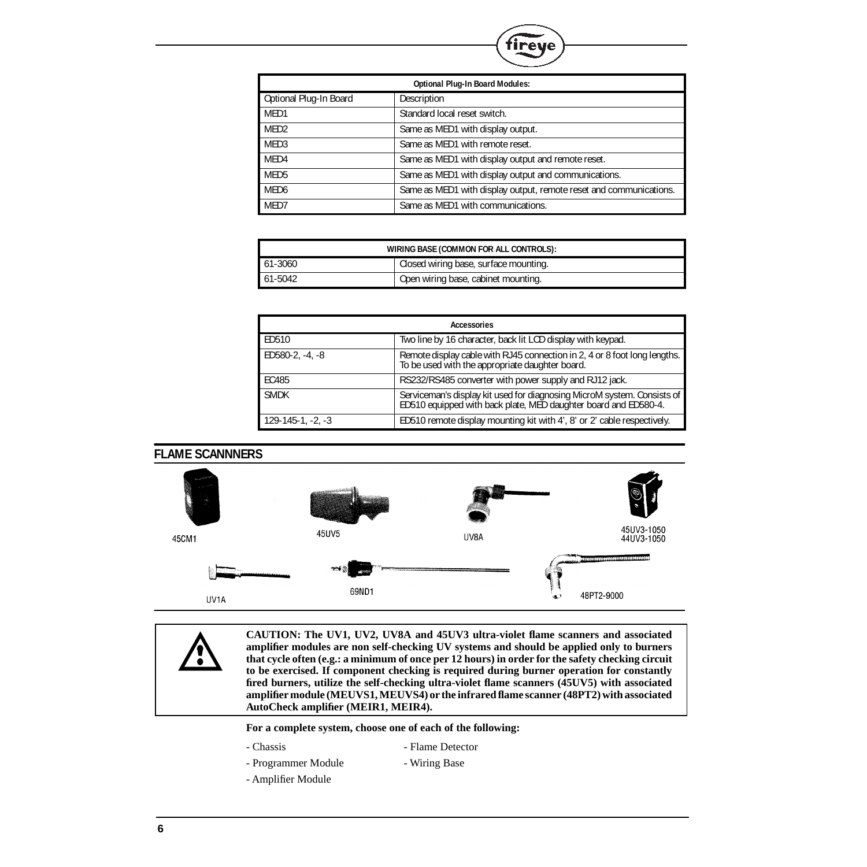

| <b>Optional Plug-In Board Modules:</b> |                                                                    |  |  |  |
|----------------------------------------|--------------------------------------------------------------------|--|--|--|
| Optional Plug-In Board                 | Description                                                        |  |  |  |
| MED1                                   | Standard local reset switch.                                       |  |  |  |
| MED <sub>2</sub>                       | Same as MED1 with display output.                                  |  |  |  |
| MED3                                   | Same as MED1 with remote reset.                                    |  |  |  |
| MED4                                   | Same as MED1 with display output and remote reset.                 |  |  |  |
| MED <sub>5</sub>                       | Same as MED1 with display output and communications.               |  |  |  |
| MED <sub>6</sub>                       | Same as MED1 with display output, remote reset and communications. |  |  |  |
| MED7                                   | Same as MED1 with communications.                                  |  |  |  |

| WIRING BASE (COMMON FOR ALL CONTROLS): |                                       |  |  |  |
|----------------------------------------|---------------------------------------|--|--|--|
| 61-3060                                | Closed wiring base, surface mounting. |  |  |  |
| 61-5042                                | Open wiring base, cabinet mounting.   |  |  |  |

| <b>Accessories</b> |                                                                                                                                           |  |  |  |
|--------------------|-------------------------------------------------------------------------------------------------------------------------------------------|--|--|--|
| ED510              | Two line by 16 character, back lit LCD display with keypad.                                                                               |  |  |  |
| ED580-2, -4, -8    | Remote display cable with RJ45 connection in 2, 4 $\overline{or}$ 8 foot long lengths.<br>To be used with the appropriate daughter board. |  |  |  |
| EC485              | RS232/RS485 converter with power supply and RJ12 jack.                                                                                    |  |  |  |
| <b>SMDK</b>        | Serviceman's display kit used for diagnosing MicroM system. Consists of ED510 equipped with back plate, MED daughter board and ED580-4.   |  |  |  |
| 129-145-1, -2, -3  | ED510 remote display mounting kit with 4', 8' or 2' cable respectively.                                                                   |  |  |  |

# **FLAME SCANNNERS**





**CAUTION: The UV1, UV2, UV8A and 45UV3 ultra-violet flame scanners and associated amplifier modules are non self-checking UV systems and should be applied only to burners that cycle often (e.g.: a minimum of once per 12 hours) in order for the safety checking circuit to be exercised. If component checking is required during burner operation for constantly fired burners, utilize the self-checking ultra-violet flame scanners (45UV5) with associated amplifier module (MEUVS1, MEUVS4) or the infrared flame scanner (48PT2) with associated AutoCheck amplifier (MEIR1, MEIR4).**

**For a complete system, choose one of each of the following:**

- 
- Chassis Flame Detector
- Programmer Module Wiring Base
- 
- Amplifier Module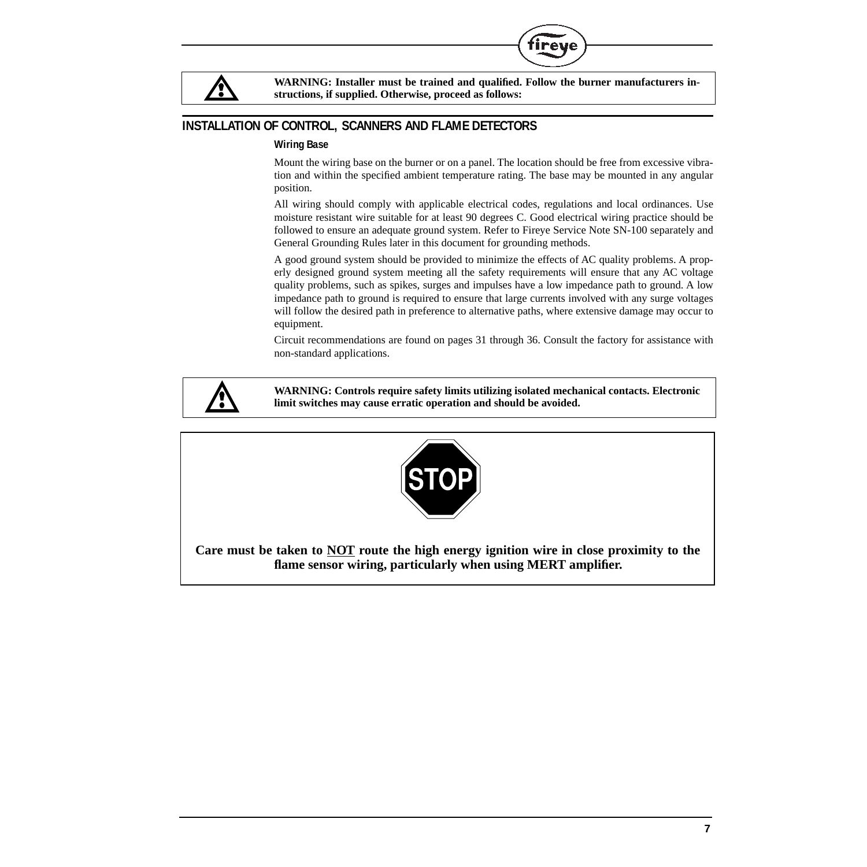



**WARNING: Installer must be trained and qualified. Follow the burner manufacturers instructions, if supplied. Otherwise, proceed as follows:**

# **INSTALLATION OF CONTROL, SCANNERS AND FLAME DETECTORS**

#### **Wiring Base**

Mount the wiring base on the burner or on a panel. The location should be free from excessive vibration and within the specified ambient temperature rating. The base may be mounted in any angular position.

All wiring should comply with applicable electrical codes, regulations and local ordinances. Use moisture resistant wire suitable for at least 90 degrees C. Good electrical wiring practice should be followed to ensure an adequate ground system. Refer to Fireye Service Note SN-100 separately and General Grounding Rules later in this document for grounding methods.

A good ground system should be provided to minimize the effects of AC quality problems. A properly designed ground system meeting all the safety requirements will ensure that any AC voltage quality problems, such as spikes, surges and impulses have a low impedance path to ground. A low impedance path to ground is required to ensure that large currents involved with any surge voltages will follow the desired path in preference to alternative paths, where extensive damage may occur to equipment.

Circuit recommendations are found on pages 31 through 36. Consult the factory for assistance with non-standard applications.



**WARNING: Controls require safety limits utilizing isolated mechanical contacts. Electronic limit switches may cause erratic operation and should be avoided.**



**Care must be taken to NOT route the high energy ignition wire in close proximity to the flame sensor wiring, particularly when using MERT amplifier.**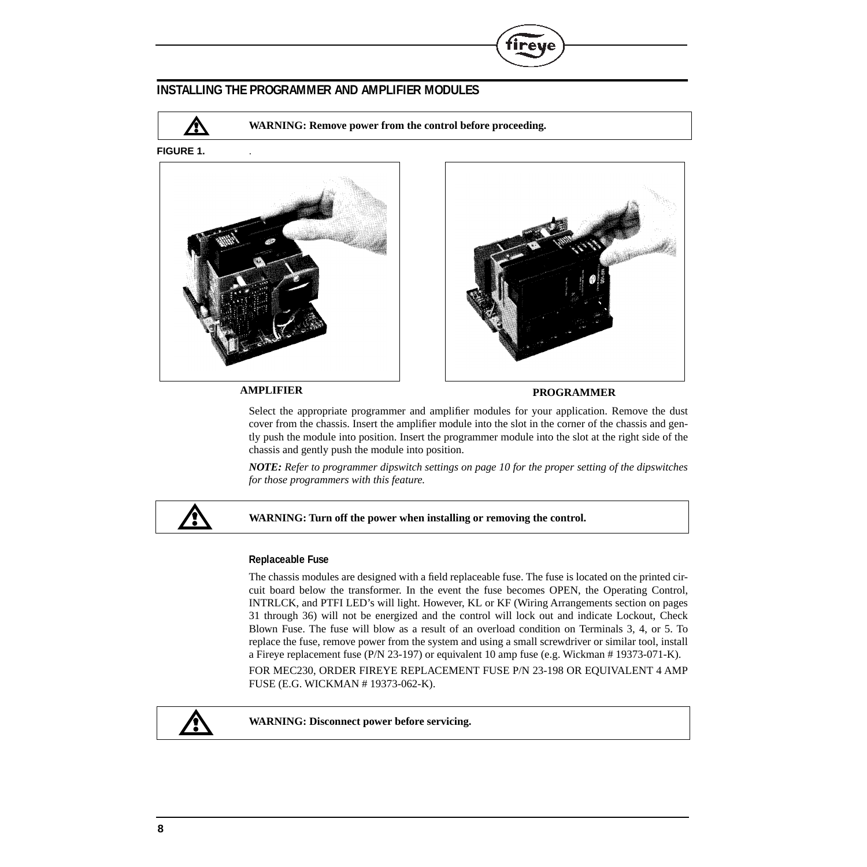# **INSTALLING THE PROGRAMMER AND AMPLIFIER MODULES**



**WARNING: Remove power from the control before proceeding.**

#### **FIGURE 1.**





**R** 

**AMPLIFIER PROGRAMMER**

Select the appropriate programmer and amplifier modules for your application. Remove the dust cover from the chassis. Insert the amplifier module into the slot in the corner of the chassis and gently push the module into position. Insert the programmer module into the slot at the right side of the chassis and gently push the module into position.

*NOTE: Refer to programmer dipswitch settings on page 10 for the proper setting of the dipswitches for those programmers with this feature.*



#### **WARNING: Turn off the power when installing or removing the control.**

#### **Replaceable Fuse**

The chassis modules are designed with a field replaceable fuse. The fuse is located on the printed circuit board below the transformer. In the event the fuse becomes OPEN, the Operating Control, INTRLCK, and PTFI LED's will light. However, KL or KF (Wiring Arrangements section on pages 31 through 36) will not be energized and the control will lock out and indicate Lockout, Check Blown Fuse. The fuse will blow as a result of an overload condition on Terminals 3, 4, or 5. To replace the fuse, remove power from the system and using a small screwdriver or similar tool, install a Fireye replacement fuse (P/N 23-197) or equivalent 10 amp fuse (e.g. Wickman # 19373-071-K). FOR MEC230, ORDER FIREYE REPLACEMENT FUSE P/N 23-198 OR EQUIVALENT 4 AMP FUSE (E.G. WICKMAN # 19373-062-K).



#### **WARNING: Disconnect power before servicing.**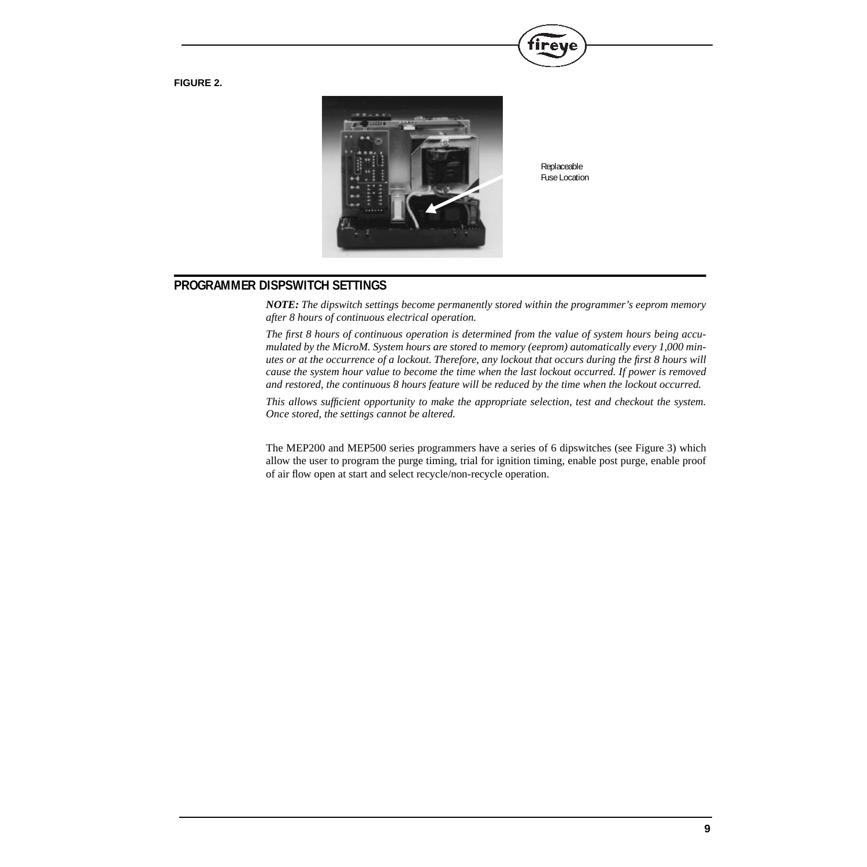**FIGURE 2.**





Replaceable Fuse Location

# **PROGRAMMER DISPSWITCH SETTINGS**

*NOTE: The dipswitch settings become permanently stored within the programmer's eeprom memory after 8 hours of continuous electrical operation.* 

*The first 8 hours of continuous operation is determined from the value of system hours being accumulated by the MicroM. System hours are stored to memory (eeprom) automatically every 1,000 minutes or at the occurrence of a lockout. Therefore, any lockout that occurs during the first 8 hours will cause the system hour value to become the time when the last lockout occurred. If power is removed and restored, the continuous 8 hours feature will be reduced by the time when the lockout occurred.* 

*This allows sufficient opportunity to make the appropriate selection, test and checkout the system. Once stored, the settings cannot be altered.*

The MEP200 and MEP500 series programmers have a series of 6 dipswitches (see Figure 3) which allow the user to program the purge timing, trial for ignition timing, enable post purge, enable proof of air flow open at start and select recycle/non-recycle operation.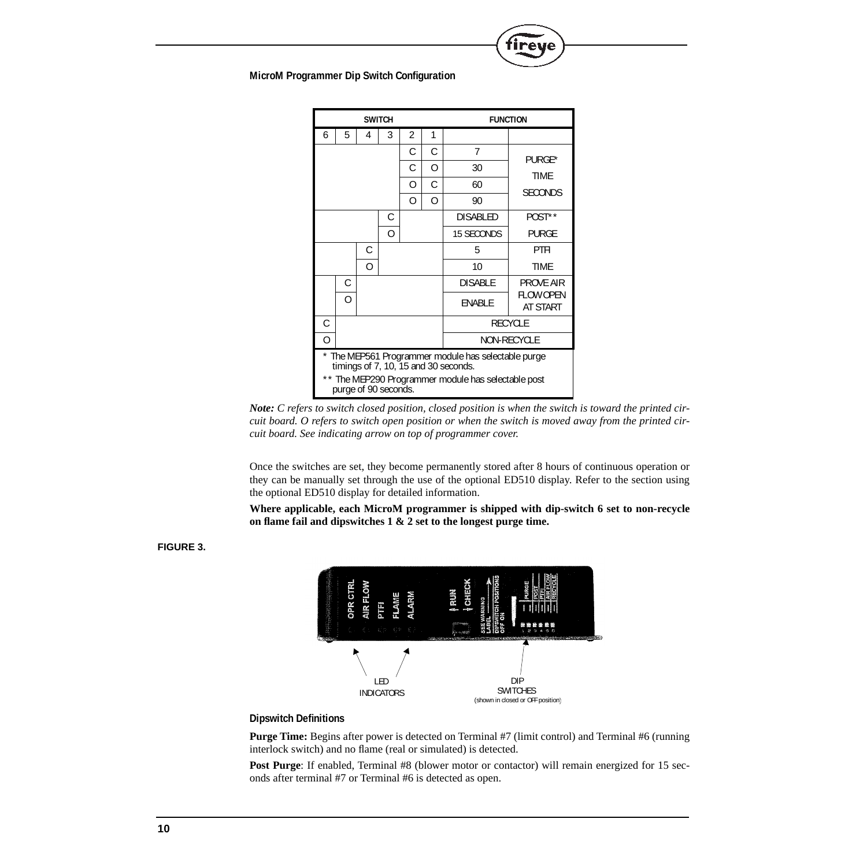**MicroM Programmer Dip Switch Configuration**

| <b>SWITCH</b>                                                                                                                                                              |                |   |   |                |   |                                        | <b>FUNCTION</b>  |
|----------------------------------------------------------------------------------------------------------------------------------------------------------------------------|----------------|---|---|----------------|---|----------------------------------------|------------------|
| 6                                                                                                                                                                          | 5              | 4 | 3 | $\mathfrak{D}$ | 1 |                                        |                  |
|                                                                                                                                                                            |                |   |   | C              | C | 7                                      | PURGE*           |
|                                                                                                                                                                            |                |   |   | C<br>0         |   | 30                                     | <b>TIMF</b>      |
|                                                                                                                                                                            |                |   |   | Ω              | C | 60                                     | <b>SECONDS</b>   |
|                                                                                                                                                                            |                |   |   | 0              | 0 | 90                                     |                  |
|                                                                                                                                                                            |                |   | C |                |   | <b>DISABLED</b>                        | POST**           |
|                                                                                                                                                                            |                |   | 0 |                |   | <b>15 SECONDS</b>                      | <b>PURGE</b>     |
|                                                                                                                                                                            |                | C |   |                |   | 5                                      | <b>PTFI</b>      |
|                                                                                                                                                                            |                | 0 |   |                |   | 10                                     | <b>TIME</b>      |
|                                                                                                                                                                            | C              |   |   |                |   | <b>DISABLE</b>                         | <b>PROVE AIR</b> |
|                                                                                                                                                                            | O              |   |   |                |   | <b>FLOW OPEN</b><br>ENABLE<br>AT START |                  |
| C                                                                                                                                                                          | <b>RECYCLE</b> |   |   |                |   |                                        |                  |
| 0                                                                                                                                                                          | NON-RECYCLE    |   |   |                |   |                                        |                  |
| * The MEP561 Programmer module has selectable purge<br>timings of 7, 10, 15 and 30 seconds.<br>** The MEP290 Programmer module has selectable post<br>purge of 90 seconds. |                |   |   |                |   |                                        |                  |

 $^{\circledR}$ 

*Note: C refers to switch closed position, closed position is when the switch is toward the printed circuit board. O refers to switch open position or when the switch is moved away from the printed circuit board. See indicating arrow on top of programmer cover.*

Once the switches are set, they become permanently stored after 8 hours of continuous operation or they can be manually set through the use of the optional ED510 display. Refer to the section using the optional ED510 display for detailed information.

**Where applicable, each MicroM programmer is shipped with dip-switch 6 set to non-recycle on flame fail and dipswitches 1 & 2 set to the longest purge time.**

# LED INDICATORS SWITCHES (shown in closed or OFF position) DIP

#### **Dipswitch Definitions**

**Purge Time:** Begins after power is detected on Terminal #7 (limit control) and Terminal #6 (running interlock switch) and no flame (real or simulated) is detected.

**Post Purge**: If enabled, Terminal #8 (blower motor or contactor) will remain energized for 15 seconds after terminal #7 or Terminal #6 is detected as open.

#### **FIGURE 3.**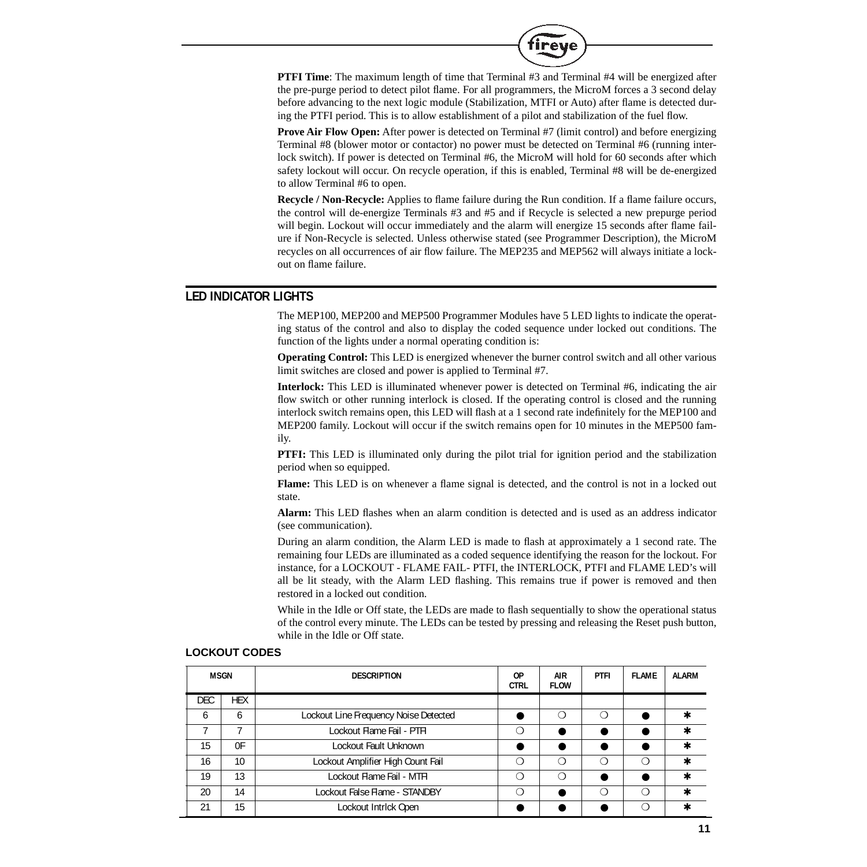

**PTFI Time**: The maximum length of time that Terminal #3 and Terminal #4 will be energized after the pre-purge period to detect pilot flame. For all programmers, the MicroM forces a 3 second delay before advancing to the next logic module (Stabilization, MTFI or Auto) after flame is detected during the PTFI period. This is to allow establishment of a pilot and stabilization of the fuel flow.

**Prove Air Flow Open:** After power is detected on Terminal #7 (limit control) and before energizing Terminal #8 (blower motor or contactor) no power must be detected on Terminal #6 (running interlock switch). If power is detected on Terminal #6, the MicroM will hold for 60 seconds after which safety lockout will occur. On recycle operation, if this is enabled, Terminal #8 will be de-energized to allow Terminal #6 to open.

**Recycle / Non-Recycle:** Applies to flame failure during the Run condition. If a flame failure occurs, the control will de-energize Terminals #3 and #5 and if Recycle is selected a new prepurge period will begin. Lockout will occur immediately and the alarm will energize 15 seconds after flame failure if Non-Recycle is selected. Unless otherwise stated (see Programmer Description), the MicroM recycles on all occurrences of air flow failure. The MEP235 and MEP562 will always initiate a lockout on flame failure.

# **LED INDICATOR LIGHTS**

The MEP100, MEP200 and MEP500 Programmer Modules have 5 LED lights to indicate the operating status of the control and also to display the coded sequence under locked out conditions. The function of the lights under a normal operating condition is:

**Operating Control:** This LED is energized whenever the burner control switch and all other various limit switches are closed and power is applied to Terminal #7.

**Interlock:** This LED is illuminated whenever power is detected on Terminal #6, indicating the air flow switch or other running interlock is closed. If the operating control is closed and the running interlock switch remains open, this LED will flash at a 1 second rate indefinitely for the MEP100 and MEP200 family. Lockout will occur if the switch remains open for 10 minutes in the MEP500 family.

**PTFI:** This LED is illuminated only during the pilot trial for ignition period and the stabilization period when so equipped.

**Flame:** This LED is on whenever a flame signal is detected, and the control is not in a locked out state.

**Alarm:** This LED flashes when an alarm condition is detected and is used as an address indicator (see communication).

During an alarm condition, the Alarm LED is made to flash at approximately a 1 second rate. The remaining four LEDs are illuminated as a coded sequence identifying the reason for the lockout. For instance, for a LOCKOUT - FLAME FAIL- PTFI, the INTERLOCK, PTFI and FLAME LED's will all be lit steady, with the Alarm LED flashing. This remains true if power is removed and then restored in a locked out condition.

While in the Idle or Off state, the LEDs are made to flash sequentially to show the operational status of the control every minute. The LEDs can be tested by pressing and releasing the Reset push button, while in the Idle or Off state.

#### **LOCKOUT CODES**

|            | <b>MSGN</b> | <b>DESCRIPTION</b>                    | 0P<br><b>CTRL</b> | <b>AIR</b><br><b>FLOW</b> | <b>PTFI</b> | <b>FLAME</b> | <b>ALARM</b> |
|------------|-------------|---------------------------------------|-------------------|---------------------------|-------------|--------------|--------------|
| <b>DEC</b> | <b>HEX</b>  |                                       |                   |                           |             |              |              |
| 6          | 6           | Lockout Line Frequency Noise Detected |                   | ⌒                         | ∩           |              |              |
|            |             | Lockout Flame Fail - PTFI             | ∩                 |                           |             |              | ⊁            |
| 15         | 0F          | Lockout Fault Unknown                 |                   |                           |             |              | ⊁            |
| 16         | 10          | Lockout Amplifier High Count Fail     | ∩                 | ∩                         | ∩           | ∩            |              |
| 19         | 13          | Lockout Flame Fail - MTFI             | ∩                 | ∩                         |             |              | ⊁            |
| 20         | 14          | Lockout False Flame - STANDBY         | ∩                 |                           | ∩           | ∩            |              |
| 21         | 15          | Lockout Intrick Open                  |                   |                           |             | ∩            |              |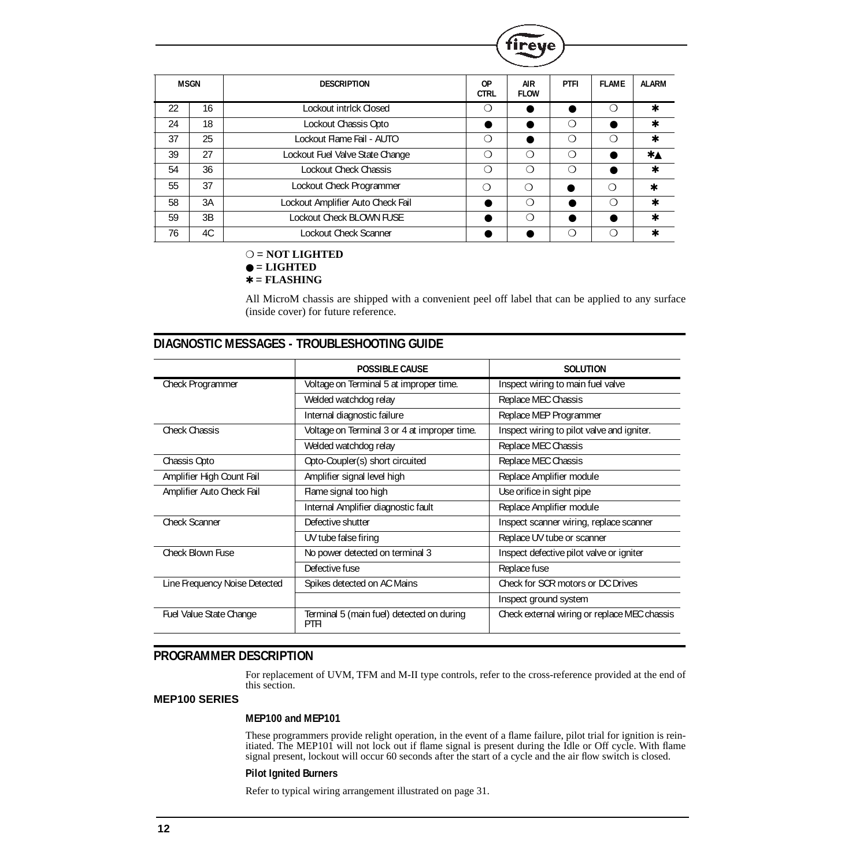|    |             |                                   |                   | fireye                    |             |              |              |
|----|-------------|-----------------------------------|-------------------|---------------------------|-------------|--------------|--------------|
|    |             |                                   |                   |                           |             |              |              |
|    | <b>MSGN</b> | <b>DESCRIPTION</b>                | 0P<br><b>CTRL</b> | <b>AIR</b><br><b>FLOW</b> | <b>PTFI</b> | <b>FLAME</b> | <b>ALARM</b> |
| 22 | 16          | Lockout intrick Closed            | ∩                 |                           |             | ◯            | $\star$      |
| 24 | 18          | Lockout Chassis Opto              |                   | ●                         | $\bigcirc$  | ●            | $\star$      |
| 37 | 25          | Lockout Flame Fail - AUTO         | ◯                 |                           | $\bigcirc$  | ◯            | $\star$      |
| 39 | 27          | Lockout Fuel Valve State Change   | $\bigcirc$        | ∩                         | ∩           |              | $*$          |
| 54 | 36          | Lockout Check Chassis             | ◯                 | ◯                         | $\bigcirc$  |              | $\star$      |
| 55 | 37          | Lockout Check Programmer          | ∩                 | ◯                         |             | ◯            | ⊁            |
| 58 | 3A          | Lockout Amplifier Auto Check Fail |                   | ◯                         |             | $\bigcap$    | $\star$      |
| 59 | 3B          | Lockout Check BLOWN FUSE          |                   | ∩                         |             |              | $\star$      |
| 76 | 4C          | Lockout Check Scanner             |                   |                           | ∩           | ◯            | ⊁            |

# ❍ = **NOT LIGHTED** ● = **LIGHTED** ✱ = **FLASHING**

All MicroM chassis are shipped with a convenient peel off label that can be applied to any surface (inside cover) for future reference.

 $\circledR$ 

|                               | <b>POSSIBLE CAUSE</b>                             | <b>SOLUTION</b>                              |  |  |
|-------------------------------|---------------------------------------------------|----------------------------------------------|--|--|
| <b>Check Programmer</b>       | Voltage on Terminal 5 at improper time.           | Inspect wiring to main fuel valve            |  |  |
|                               | Welded watchdog relay                             | Replace MEC Chassis                          |  |  |
|                               | Internal diagnostic failure                       | Replace MEP Programmer                       |  |  |
| <b>Check Chassis</b>          | Voltage on Terminal 3 or 4 at improper time.      | Inspect wiring to pilot valve and igniter.   |  |  |
|                               | Welded watchdog relay                             | Replace MEC Chassis                          |  |  |
| Chassis Opto                  | Opto-Coupler(s) short circuited                   | Replace MEC Chassis                          |  |  |
| Amplifier High Count Fail     | Amplifier signal level high                       | Replace Amplifier module                     |  |  |
| Amplifier Auto Check Fail     | Flame signal too high                             | Use orifice in sight pipe                    |  |  |
|                               | Internal Amplifier diagnostic fault               | Replace Amplifier module                     |  |  |
| <b>Check Scanner</b>          | Defective shutter                                 | Inspect scanner wiring, replace scanner      |  |  |
|                               | UV tube false firing                              | Replace UV tube or scanner                   |  |  |
| <b>Check Blown Fuse</b>       | No power detected on terminal 3                   | Inspect defective pilot valve or igniter     |  |  |
|                               | Defective fuse                                    | Replace fuse                                 |  |  |
| Line Frequency Noise Detected | Spikes detected on AC Mains                       | Check for SCR motors or DC Drives            |  |  |
|                               |                                                   | Inspect ground system                        |  |  |
| Fuel Value State Change       | Terminal 5 (main fuel) detected on during<br>PTFI | Check external wiring or replace MEC chassis |  |  |

# **DIAGNOSTIC MESSAGES - TROUBLESHOOTING GUIDE**

# **PROGRAMMER DESCRIPTION**

For replacement of UVM, TFM and M-II type controls, refer to the cross-reference provided at the end of this section.

# **MEP100 SERIES**

## **MEP100 and MEP101**

These programmers provide relight operation, in the event of a flame failure, pilot trial for ignition is reinitiated. The MEP101 will not lock out if flame signal is present during the Idle or Off cycle. With flame signal present, lockout will occur 60 seconds after the start of a cycle and the air flow switch is closed.

#### **Pilot Ignited Burners**

Refer to typical wiring arrangement illustrated on page 31.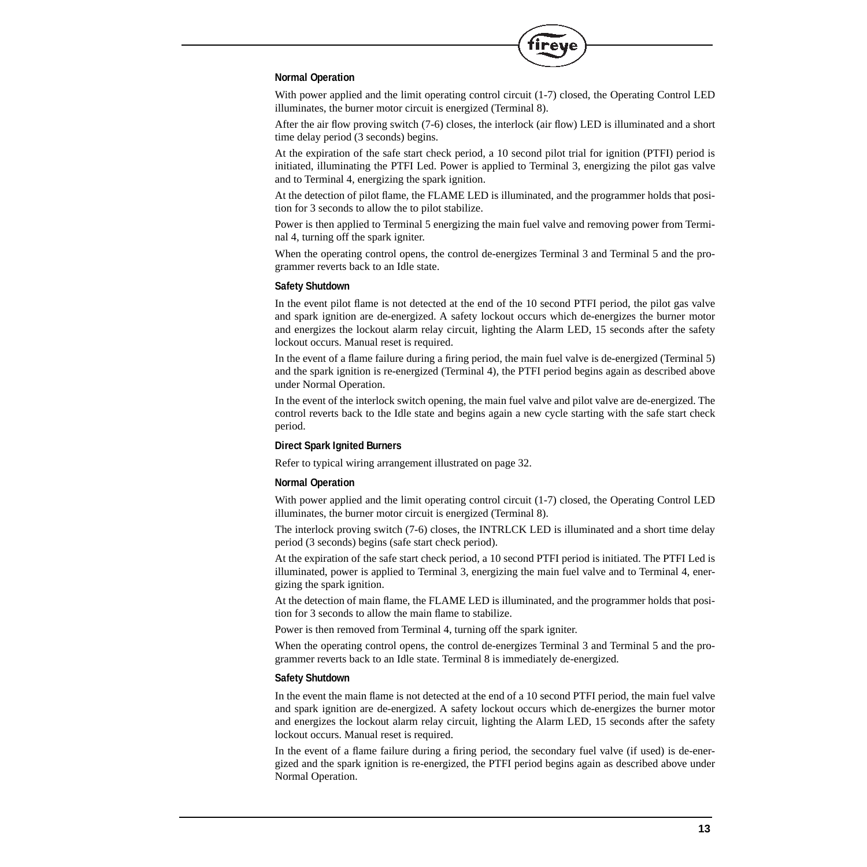

#### **Normal Operation**

With power applied and the limit operating control circuit (1-7) closed, the Operating Control LED illuminates, the burner motor circuit is energized (Terminal 8).

After the air flow proving switch (7-6) closes, the interlock (air flow) LED is illuminated and a short time delay period (3 seconds) begins.

At the expiration of the safe start check period, a 10 second pilot trial for ignition (PTFI) period is initiated, illuminating the PTFI Led. Power is applied to Terminal 3, energizing the pilot gas valve and to Terminal 4, energizing the spark ignition.

At the detection of pilot flame, the FLAME LED is illuminated, and the programmer holds that position for 3 seconds to allow the to pilot stabilize.

Power is then applied to Terminal 5 energizing the main fuel valve and removing power from Terminal 4, turning off the spark igniter.

When the operating control opens, the control de-energizes Terminal 3 and Terminal 5 and the programmer reverts back to an Idle state.

#### **Safety Shutdown**

In the event pilot flame is not detected at the end of the 10 second PTFI period, the pilot gas valve and spark ignition are de-energized. A safety lockout occurs which de-energizes the burner motor and energizes the lockout alarm relay circuit, lighting the Alarm LED, 15 seconds after the safety lockout occurs. Manual reset is required.

In the event of a flame failure during a firing period, the main fuel valve is de-energized (Terminal 5) and the spark ignition is re-energized (Terminal 4), the PTFI period begins again as described above under Normal Operation.

In the event of the interlock switch opening, the main fuel valve and pilot valve are de-energized. The control reverts back to the Idle state and begins again a new cycle starting with the safe start check period.

#### **Direct Spark Ignited Burners**

Refer to typical wiring arrangement illustrated on page 32.

#### **Normal Operation**

With power applied and the limit operating control circuit (1-7) closed, the Operating Control LED illuminates, the burner motor circuit is energized (Terminal 8).

The interlock proving switch (7-6) closes, the INTRLCK LED is illuminated and a short time delay period (3 seconds) begins (safe start check period).

At the expiration of the safe start check period, a 10 second PTFI period is initiated. The PTFI Led is illuminated, power is applied to Terminal 3, energizing the main fuel valve and to Terminal 4, energizing the spark ignition.

At the detection of main flame, the FLAME LED is illuminated, and the programmer holds that position for 3 seconds to allow the main flame to stabilize.

Power is then removed from Terminal 4, turning off the spark igniter.

When the operating control opens, the control de-energizes Terminal 3 and Terminal 5 and the programmer reverts back to an Idle state. Terminal 8 is immediately de-energized.

#### **Safety Shutdown**

In the event the main flame is not detected at the end of a 10 second PTFI period, the main fuel valve and spark ignition are de-energized. A safety lockout occurs which de-energizes the burner motor and energizes the lockout alarm relay circuit, lighting the Alarm LED, 15 seconds after the safety lockout occurs. Manual reset is required.

In the event of a flame failure during a firing period, the secondary fuel valve (if used) is de-energized and the spark ignition is re-energized, the PTFI period begins again as described above under Normal Operation.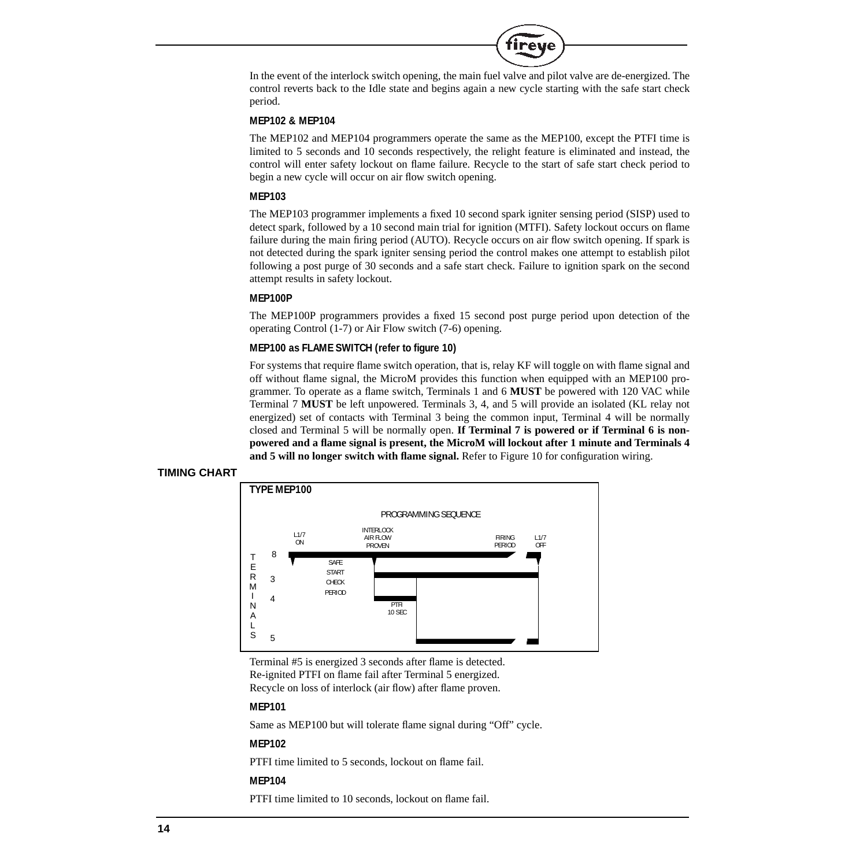In the event of the interlock switch opening, the main fuel valve and pilot valve are de-energized. The control reverts back to the Idle state and begins again a new cycle starting with the safe start check period.

 $( R )$ 

ireve

#### **MEP102 & MEP104**

The MEP102 and MEP104 programmers operate the same as the MEP100, except the PTFI time is limited to 5 seconds and 10 seconds respectively, the relight feature is eliminated and instead, the control will enter safety lockout on flame failure. Recycle to the start of safe start check period to begin a new cycle will occur on air flow switch opening.

#### **MEP103**

The MEP103 programmer implements a fixed 10 second spark igniter sensing period (SISP) used to detect spark, followed by a 10 second main trial for ignition (MTFI). Safety lockout occurs on flame failure during the main firing period (AUTO). Recycle occurs on air flow switch opening. If spark is not detected during the spark igniter sensing period the control makes one attempt to establish pilot following a post purge of 30 seconds and a safe start check. Failure to ignition spark on the second attempt results in safety lockout.

#### **MEP100P**

The MEP100P programmers provides a fixed 15 second post purge period upon detection of the operating Control (1-7) or Air Flow switch (7-6) opening.

#### **MEP100 as FLAME SWITCH (refer to figure 10)**

For systems that require flame switch operation, that is, relay KF will toggle on with flame signal and off without flame signal, the MicroM provides this function when equipped with an MEP100 programmer. To operate as a flame switch, Terminals 1 and 6 **MUST** be powered with 120 VAC while Terminal 7 **MUST** be left unpowered. Terminals 3, 4, and 5 will provide an isolated (KL relay not energized) set of contacts with Terminal 3 being the common input, Terminal 4 will be normally closed and Terminal 5 will be normally open. **If Terminal 7 is powered or if Terminal 6 is nonpowered and a flame signal is present, the MicroM will lockout after 1 minute and Terminals 4 and 5 will no longer switch with flame signal.** Refer to Figure 10 for configuration wiring.

#### **TIMING CHART**



Terminal #5 is energized 3 seconds after flame is detected. Re-ignited PTFI on flame fail after Terminal 5 energized. Recycle on loss of interlock (air flow) after flame proven.

#### **MEP101**

Same as MEP100 but will tolerate flame signal during "Off" cycle.

#### **MEP102**

PTFI time limited to 5 seconds, lockout on flame fail.

#### **MEP104**

PTFI time limited to 10 seconds, lockout on flame fail.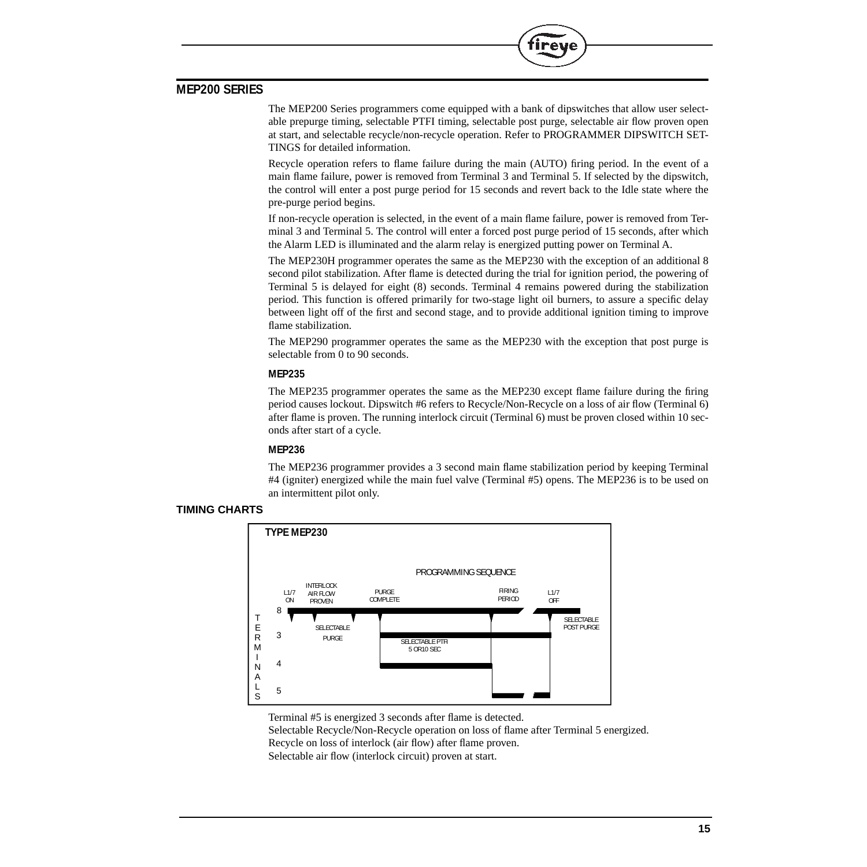# **MEP200 SERIES**

The MEP200 Series programmers come equipped with a bank of dipswitches that allow user selectable prepurge timing, selectable PTFI timing, selectable post purge, selectable air flow proven open at start, and selectable recycle/non-recycle operation. Refer to PROGRAMMER DIPSWITCH SET-TINGS for detailed information.

**R** 

Recycle operation refers to flame failure during the main (AUTO) firing period. In the event of a main flame failure, power is removed from Terminal 3 and Terminal 5. If selected by the dipswitch, the control will enter a post purge period for 15 seconds and revert back to the Idle state where the pre-purge period begins.

If non-recycle operation is selected, in the event of a main flame failure, power is removed from Terminal 3 and Terminal 5. The control will enter a forced post purge period of 15 seconds, after which the Alarm LED is illuminated and the alarm relay is energized putting power on Terminal A.

The MEP230H programmer operates the same as the MEP230 with the exception of an additional 8 second pilot stabilization. After flame is detected during the trial for ignition period, the powering of Terminal 5 is delayed for eight (8) seconds. Terminal 4 remains powered during the stabilization period. This function is offered primarily for two-stage light oil burners, to assure a specific delay between light off of the first and second stage, and to provide additional ignition timing to improve flame stabilization.

The MEP290 programmer operates the same as the MEP230 with the exception that post purge is selectable from 0 to 90 seconds.

#### **MEP235**

The MEP235 programmer operates the same as the MEP230 except flame failure during the firing period causes lockout. Dipswitch #6 refers to Recycle/Non-Recycle on a loss of air flow (Terminal 6) after flame is proven. The running interlock circuit (Terminal 6) must be proven closed within 10 seconds after start of a cycle.

#### **MEP236**

The MEP236 programmer provides a 3 second main flame stabilization period by keeping Terminal #4 (igniter) energized while the main fuel valve (Terminal #5) opens. The MEP236 is to be used on an intermittent pilot only.





Terminal #5 is energized 3 seconds after flame is detected.

Selectable Recycle/Non-Recycle operation on loss of flame after Terminal 5 energized. Recycle on loss of interlock (air flow) after flame proven.

Selectable air flow (interlock circuit) proven at start.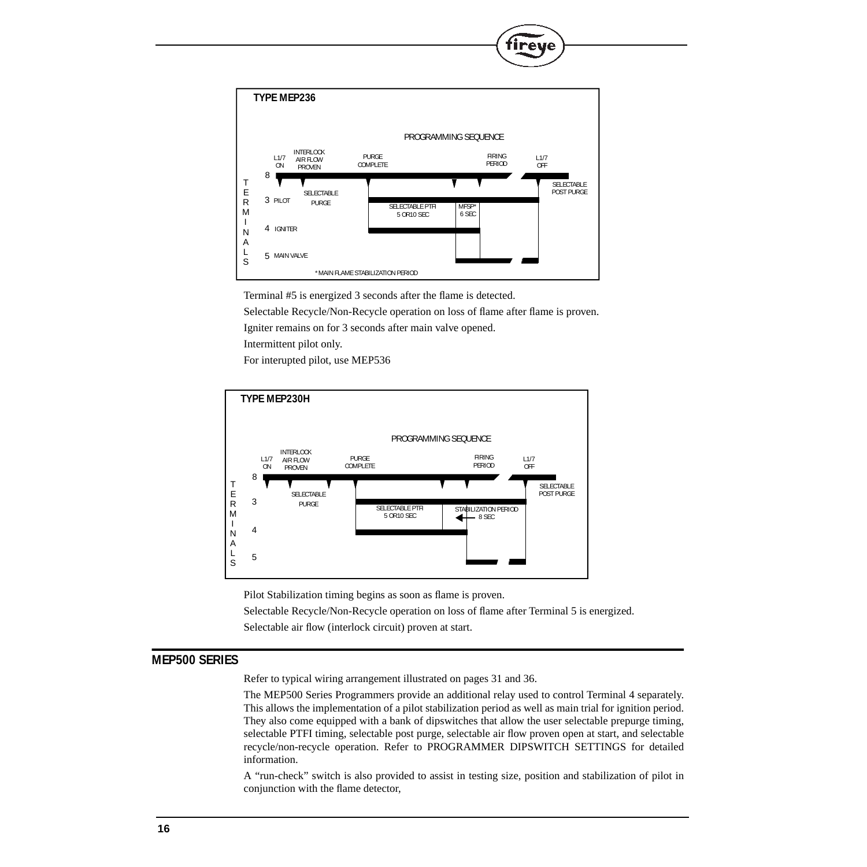

 $\circledR$ 

Terminal #5 is energized 3 seconds after the flame is detected.

Selectable Recycle/Non-Recycle operation on loss of flame after flame is proven. Igniter remains on for 3 seconds after main valve opened.

Intermittent pilot only.

For interupted pilot, use MEP536



Pilot Stabilization timing begins as soon as flame is proven.

Selectable Recycle/Non-Recycle operation on loss of flame after Terminal 5 is energized. Selectable air flow (interlock circuit) proven at start.

# **MEP500 SERIES**

Refer to typical wiring arrangement illustrated on pages 31 and 36.

The MEP500 Series Programmers provide an additional relay used to control Terminal 4 separately. This allows the implementation of a pilot stabilization period as well as main trial for ignition period. They also come equipped with a bank of dipswitches that allow the user selectable prepurge timing, selectable PTFI timing, selectable post purge, selectable air flow proven open at start, and selectable recycle/non-recycle operation. Refer to PROGRAMMER DIPSWITCH SETTINGS for detailed information.

A "run-check" switch is also provided to assist in testing size, position and stabilization of pilot in conjunction with the flame detector,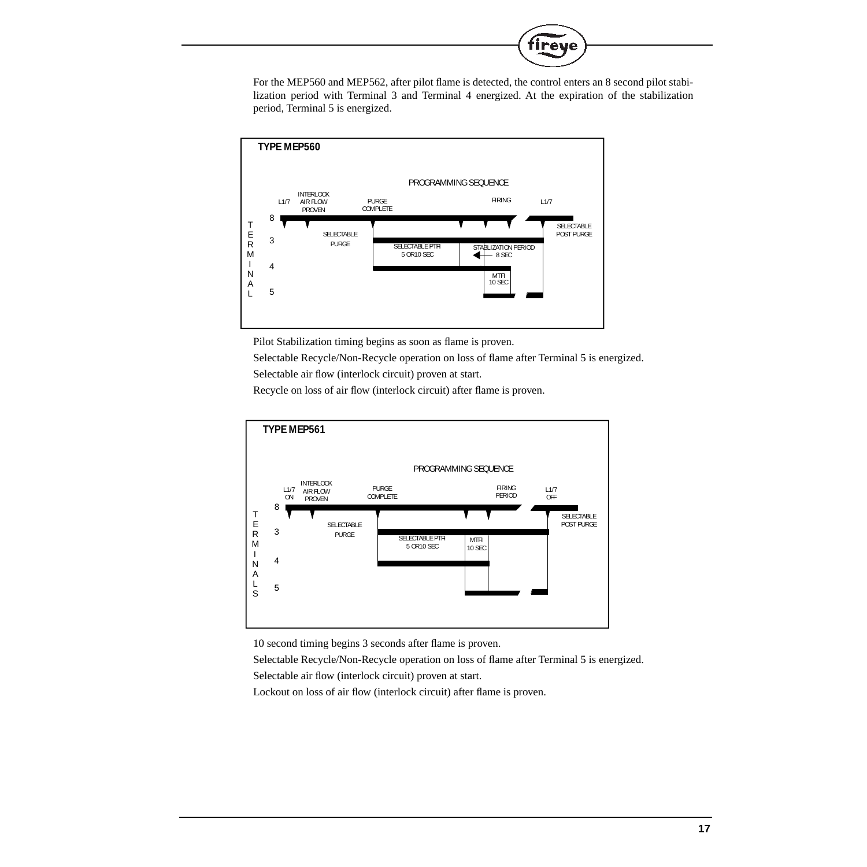

For the MEP560 and MEP562, after pilot flame is detected, the control enters an 8 second pilot stabilization period with Terminal 3 and Terminal 4 energized. At the expiration of the stabilization period, Terminal 5 is energized.



Pilot Stabilization timing begins as soon as flame is proven.

Selectable Recycle/Non-Recycle operation on loss of flame after Terminal 5 is energized. Selectable air flow (interlock circuit) proven at start.

Recycle on loss of air flow (interlock circuit) after flame is proven.



10 second timing begins 3 seconds after flame is proven.

Selectable Recycle/Non-Recycle operation on loss of flame after Terminal 5 is energized.

Selectable air flow (interlock circuit) proven at start.

Lockout on loss of air flow (interlock circuit) after flame is proven.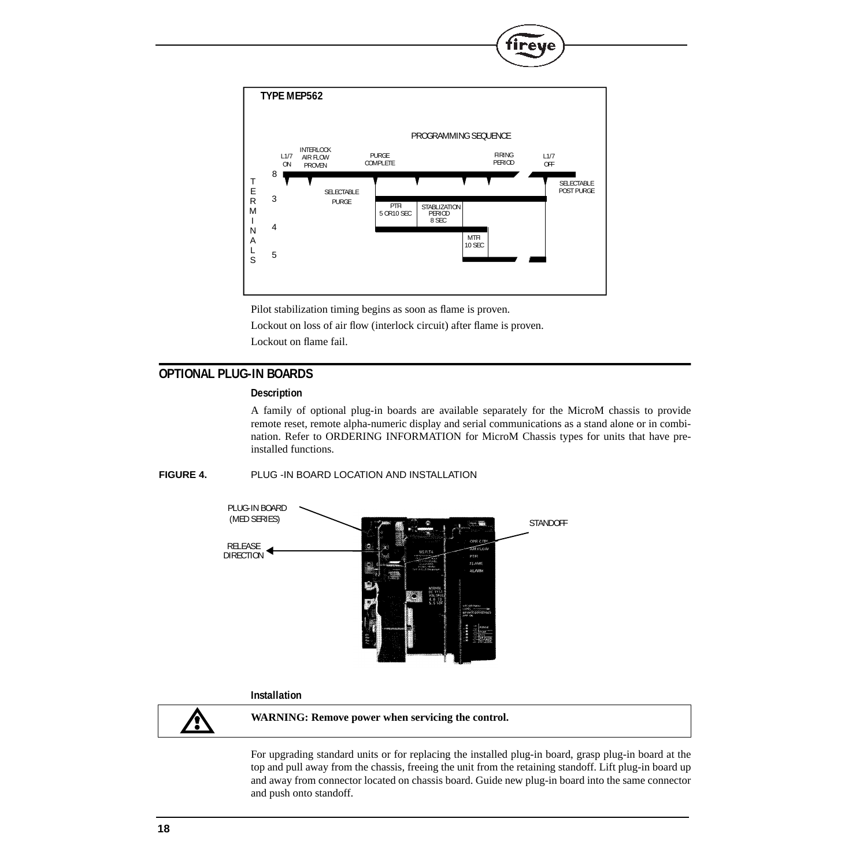

 $\circledR$ 

Pilot stabilization timing begins as soon as flame is proven.

Lockout on loss of air flow (interlock circuit) after flame is proven.

Lockout on flame fail.

# **OPTIONAL PLUG-IN BOARDS**

#### **Description**

A family of optional plug-in boards are available separately for the MicroM chassis to provide remote reset, remote alpha-numeric display and serial communications as a stand alone or in combination. Refer to ORDERING INFORMATION for MicroM Chassis types for units that have preinstalled functions.

## **FIGURE 4.** PLUG -IN BOARD LOCATION AND INSTALLATION



#### **Installation**



**WARNING: Remove power when servicing the control.**

For upgrading standard units or for replacing the installed plug-in board, grasp plug-in board at the top and pull away from the chassis, freeing the unit from the retaining standoff. Lift plug-in board up and away from connector located on chassis board. Guide new plug-in board into the same connector and push onto standoff.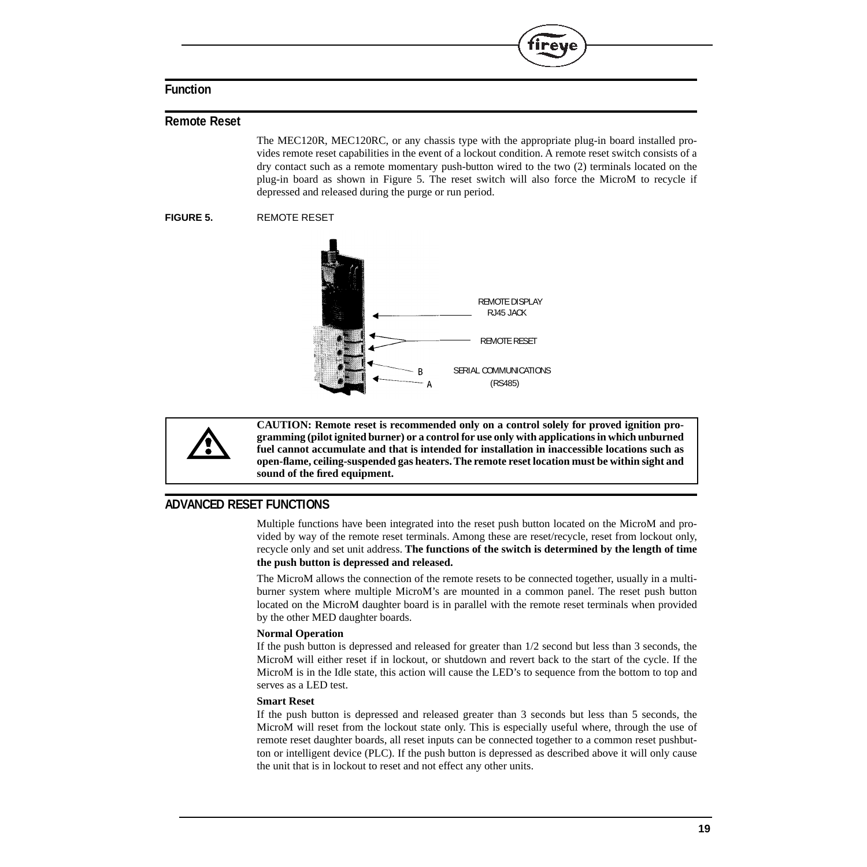# **Function**

#### **Remote Reset**

The MEC120R, MEC120RC, or any chassis type with the appropriate plug-in board installed provides remote reset capabilities in the event of a lockout condition. A remote reset switch consists of a dry contact such as a remote momentary push-button wired to the two (2) terminals located on the plug-in board as shown in Figure 5. The reset switch will also force the MicroM to recycle if depressed and released during the purge or run period.

 $^{\circledR}$ 

#### **FIGURE 5.** REMOTE RESET





**CAUTION: Remote reset is recommended only on a control solely for proved ignition programming (pilot ignited burner) or a control for use only with applications in which unburned fuel cannot accumulate and that is intended for installation in inaccessible locations such as open-flame, ceiling-suspended gas heaters. The remote reset location must be within sight and sound of the fired equipment.**

# **ADVANCED RESET FUNCTIONS**

Multiple functions have been integrated into the reset push button located on the MicroM and provided by way of the remote reset terminals. Among these are reset/recycle, reset from lockout only, recycle only and set unit address. **The functions of the switch is determined by the length of time the push button is depressed and released.**

The MicroM allows the connection of the remote resets to be connected together, usually in a multiburner system where multiple MicroM's are mounted in a common panel. The reset push button located on the MicroM daughter board is in parallel with the remote reset terminals when provided by the other MED daughter boards.

#### **Normal Operation**

If the push button is depressed and released for greater than 1/2 second but less than 3 seconds, the MicroM will either reset if in lockout, or shutdown and revert back to the start of the cycle. If the MicroM is in the Idle state, this action will cause the LED's to sequence from the bottom to top and serves as a LED test.

#### **Smart Reset**

If the push button is depressed and released greater than 3 seconds but less than 5 seconds, the MicroM will reset from the lockout state only. This is especially useful where, through the use of remote reset daughter boards, all reset inputs can be connected together to a common reset pushbutton or intelligent device (PLC). If the push button is depressed as described above it will only cause the unit that is in lockout to reset and not effect any other units.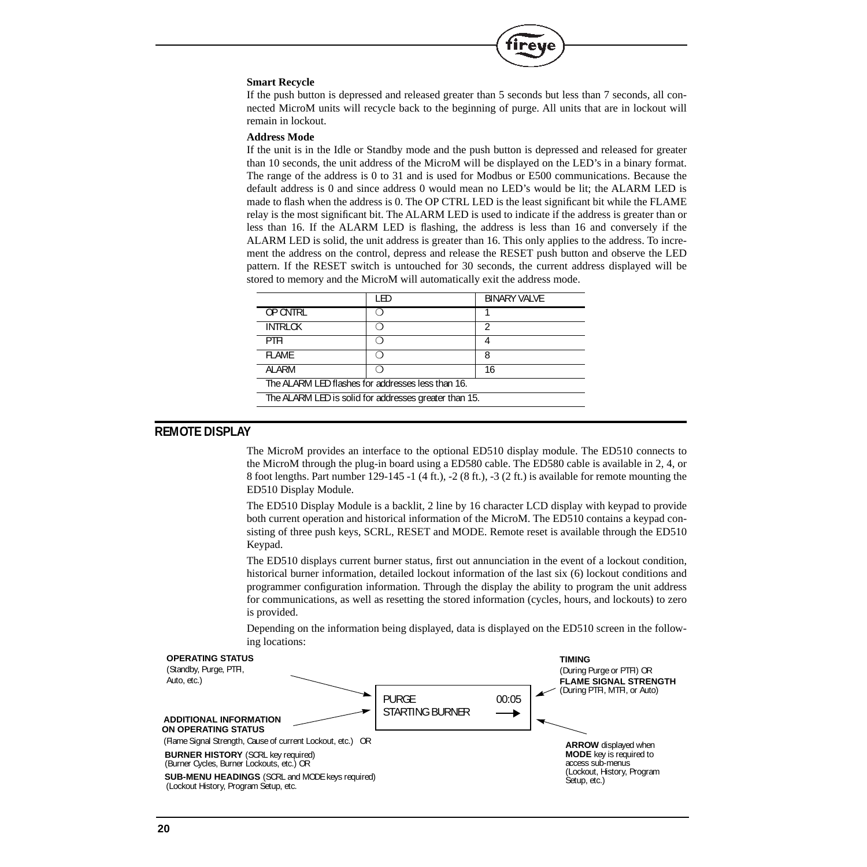#### **Smart Recycle**

If the push button is depressed and released greater than 5 seconds but less than 7 seconds, all connected MicroM units will recycle back to the beginning of purge. All units that are in lockout will remain in lockout.

(R)

#### **Address Mode**

If the unit is in the Idle or Standby mode and the push button is depressed and released for greater than 10 seconds, the unit address of the MicroM will be displayed on the LED's in a binary format. The range of the address is 0 to 31 and is used for Modbus or E500 communications. Because the default address is 0 and since address 0 would mean no LED's would be lit; the ALARM LED is made to flash when the address is 0. The OP CTRL LED is the least significant bit while the FLAME relay is the most significant bit. The ALARM LED is used to indicate if the address is greater than or less than 16. If the ALARM LED is flashing, the address is less than 16 and conversely if the ALARM LED is solid, the unit address is greater than 16. This only applies to the address. To increment the address on the control, depress and release the RESET push button and observe the LED pattern. If the RESET switch is untouched for 30 seconds, the current address displayed will be stored to memory and the MicroM will automatically exit the address mode.

|                                                       | LED | <b>BINARY VALVE</b> |  |  |  |  |
|-------------------------------------------------------|-----|---------------------|--|--|--|--|
| <b>OP CNTRL</b>                                       |     |                     |  |  |  |  |
| <b>INTRLCK</b>                                        |     | っ                   |  |  |  |  |
| <b>PTFI</b>                                           |     |                     |  |  |  |  |
| <b>FLAME</b>                                          |     | 8                   |  |  |  |  |
| ALARM                                                 |     | 16                  |  |  |  |  |
| The ALARM LED flashes for addresses less than 16.     |     |                     |  |  |  |  |
| The ALARM LED is solid for addresses greater than 15. |     |                     |  |  |  |  |

## **REMOTE DISPLAY**

The MicroM provides an interface to the optional ED510 display module. The ED510 connects to the MicroM through the plug-in board using a ED580 cable. The ED580 cable is available in 2, 4, or 8 foot lengths. Part number 129-145 -1 (4 ft.), -2 (8 ft.), -3 (2 ft.) is available for remote mounting the ED510 Display Module.

The ED510 Display Module is a backlit, 2 line by 16 character LCD display with keypad to provide both current operation and historical information of the MicroM. The ED510 contains a keypad consisting of three push keys, SCRL, RESET and MODE. Remote reset is available through the ED510 Keypad.

The ED510 displays current burner status, first out annunciation in the event of a lockout condition, historical burner information, detailed lockout information of the last six (6) lockout conditions and programmer configuration information. Through the display the ability to program the unit address for communications, as well as resetting the stored information (cycles, hours, and lockouts) to zero is provided.

Depending on the information being displayed, data is displayed on the ED510 screen in the following locations:

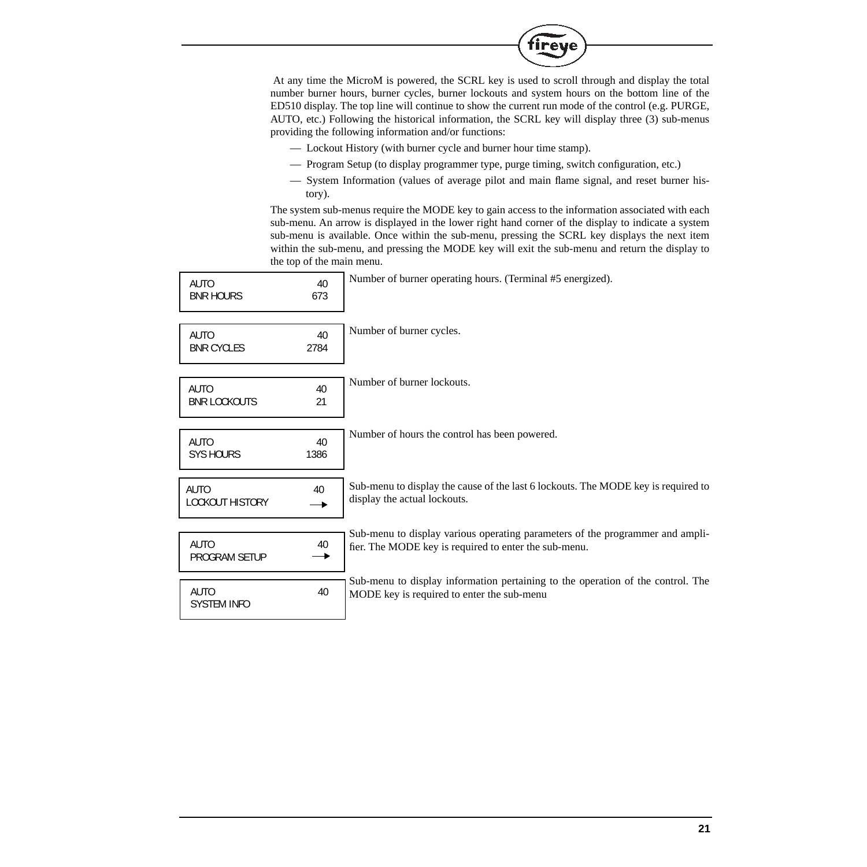

 At any time the MicroM is powered, the SCRL key is used to scroll through and display the total number burner hours, burner cycles, burner lockouts and system hours on the bottom line of the ED510 display. The top line will continue to show the current run mode of the control (e.g. PURGE, AUTO, etc.) Following the historical information, the SCRL key will display three (3) sub-menus providing the following information and/or functions:

- Lockout History (with burner cycle and burner hour time stamp).
- Program Setup (to display programmer type, purge timing, switch configuration, etc.)
- System Information (values of average pilot and main flame signal, and reset burner history).

The system sub-menus require the MODE key to gain access to the information associated with each sub-menu. An arrow is displayed in the lower right hand corner of the display to indicate a system sub-menu is available. Once within the sub-menu, pressing the SCRL key displays the next item within the sub-menu, and pressing the MODE key will exit the sub-menu and return the display to the top of the main menu.

| <b>AUTO</b><br><b>BNR HOURS</b>     | 40<br>673           | Number of burner operating hours. (Terminal #5 energized).                                                                             |
|-------------------------------------|---------------------|----------------------------------------------------------------------------------------------------------------------------------------|
| <b>AUTO</b><br><b>BNR CYCLES</b>    | 40<br>2784          | Number of burner cycles.                                                                                                               |
| <b>AUTO</b><br><b>BNR LOCKOUTS</b>  | 40<br>21            | Number of burner lockouts.                                                                                                             |
| <b>AUTO</b><br>SYS HOURS            | 40<br>1386          | Number of hours the control has been powered.                                                                                          |
| <b>AUTO</b><br>LOCKOUT HISTORY      | 40<br>$\rightarrow$ | Sub-menu to display the cause of the last 6 lockouts. The MODE key is required to<br>display the actual lockouts.                      |
| <b>AUTO</b><br><b>PROGRAM SETUP</b> | 40                  | Sub-menu to display various operating parameters of the programmer and ampli-<br>fier. The MODE key is required to enter the sub-menu. |
| <b>AUTO</b><br><b>SYSTEM INFO</b>   | 40                  | Sub-menu to display information pertaining to the operation of the control. The<br>MODE key is required to enter the sub-menu          |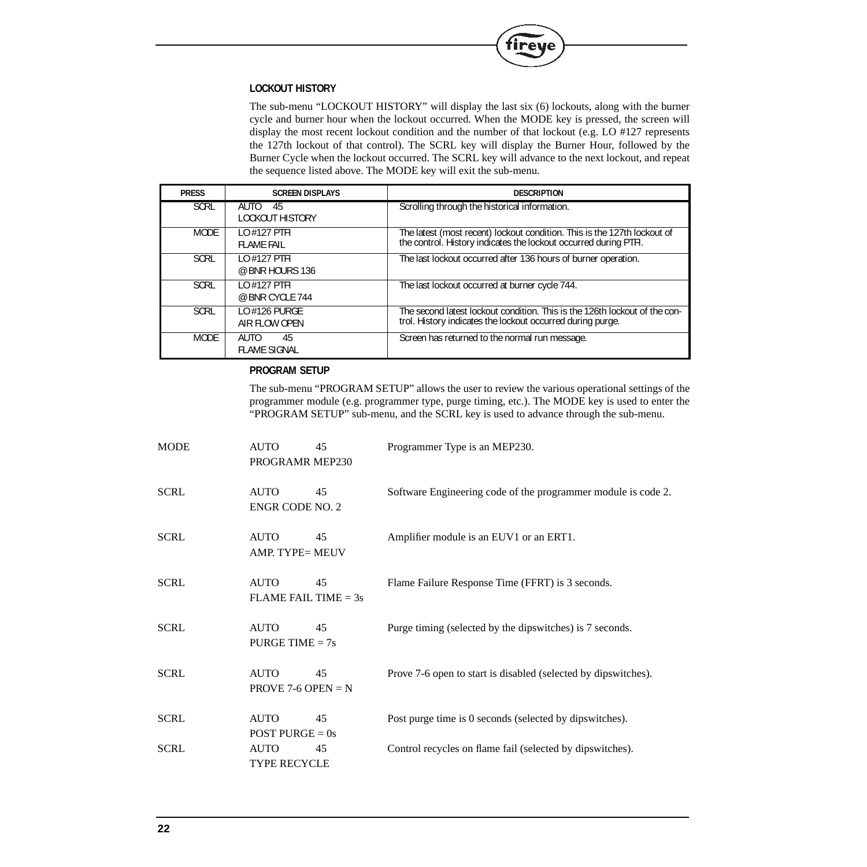

## **LOCKOUT HISTORY**

The sub-menu "LOCKOUT HISTORY" will display the last six (6) lockouts, along with the burner cycle and burner hour when the lockout occurred. When the MODE key is pressed, the screen will display the most recent lockout condition and the number of that lockout (e.g. LO #127 represents the 127th lockout of that control). The SCRL key will display the Burner Hour, followed by the Burner Cycle when the lockout occurred. The SCRL key will advance to the next lockout, and repeat the sequence listed above. The MODE key will exit the sub-menu.

| <b>PRESS</b> | <b>SCREEN DISPLAYS</b>               | <b>DESCRIPTION</b>                                                                                                                           |
|--------------|--------------------------------------|----------------------------------------------------------------------------------------------------------------------------------------------|
| <b>SCRL</b>  | 45<br>AUTO<br><b>LOCKOUT HISTORY</b> | Scrolling through the historical information.                                                                                                |
| <b>MODE</b>  | LO #127 PTFI<br><b>FLAME FAIL</b>    | The latest (most recent) lockout condition. This is the 127th lockout of<br>the control. History indicates the lockout occurred during PTFI. |
| <b>SCRL</b>  | $LO$ #127 PTFI<br>@ BNR HOURS 136    | The last lockout occurred after 136 hours of burner operation.                                                                               |
| <b>SCRL</b>  | $LO$ #127 PTFI<br>@ BNR CYCLE 744    | The last lockout occurred at burner cycle 744.                                                                                               |
| <b>SCRL</b>  | LO #126 PURGE<br>AIR FLOW OPEN       | The second latest lockout condition. This is the 126th lockout of the con-<br>trol. History indicates the lockout occurred during purge.     |
| <b>MODE</b>  | AUTO<br>45<br><b>FLAME SIGNAL</b>    | Screen has returned to the normal run message.                                                                                               |

#### **PROGRAM SETUP**

The sub-menu "PROGRAM SETUP" allows the user to review the various operational settings of the programmer module (e.g. programmer type, purge timing, etc.). The MODE key is used to enter the "PROGRAM SETUP" sub-menu, and the SCRL key is used to advance through the sub-menu.

| <b>MODE</b> | <b>AUTO</b><br>PROGRAMR MEP230        | 45 | Programmer Type is an MEP230.                                  |
|-------------|---------------------------------------|----|----------------------------------------------------------------|
| <b>SCRL</b> | <b>AUTO</b><br><b>ENGR CODE NO. 2</b> | 45 | Software Engineering code of the programmer module is code 2.  |
| <b>SCRL</b> | <b>AUTO</b><br>AMP. TYPE= MEUV        | 45 | Amplifier module is an EUV1 or an ERT1.                        |
| <b>SCRL</b> | <b>AUTO</b><br>FLAME FAIL TIME $= 3s$ | 45 | Flame Failure Response Time (FFRT) is 3 seconds.               |
| <b>SCRL</b> | <b>AUTO</b><br>PURGE TIME $= 7s$      | 45 | Purge timing (selected by the dipswitches) is 7 seconds.       |
| <b>SCRL</b> | <b>AUTO</b><br>PROVE 7-6 OPEN = $N$   | 45 | Prove 7-6 open to start is disabled (selected by dipswitches). |
| <b>SCRL</b> | <b>AUTO</b><br>POST PURGE = $0s$      | 45 | Post purge time is 0 seconds (selected by dipswitches).        |
| <b>SCRL</b> | <b>AUTO</b><br><b>TYPE RECYCLE</b>    | 45 | Control recycles on flame fail (selected by dipswitches).      |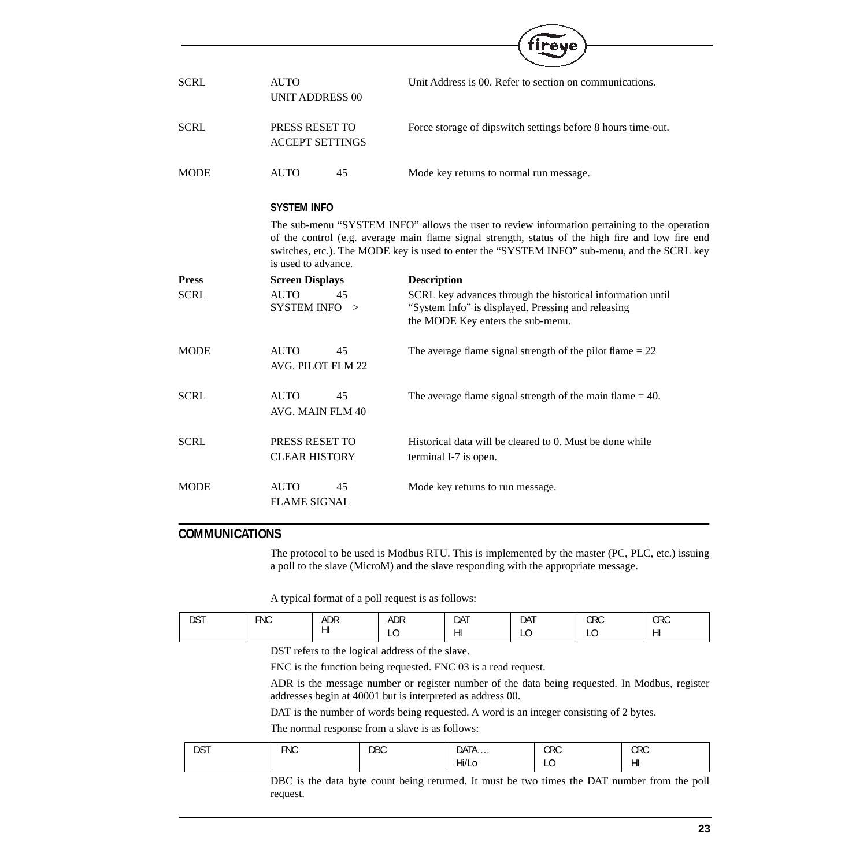|                             |                                                              | fireve                                                                                                                                                                                                                                                                                           |
|-----------------------------|--------------------------------------------------------------|--------------------------------------------------------------------------------------------------------------------------------------------------------------------------------------------------------------------------------------------------------------------------------------------------|
| <b>SCRL</b>                 | <b>AUTO</b><br><b>UNIT ADDRESS 00</b>                        | Unit Address is 00. Refer to section on communications.                                                                                                                                                                                                                                          |
| <b>SCRL</b>                 | PRESS RESET TO<br><b>ACCEPT SETTINGS</b>                     | Force storage of dipswitch settings before 8 hours time-out.                                                                                                                                                                                                                                     |
| <b>MODE</b>                 | <b>AUTO</b><br>45                                            | Mode key returns to normal run message.                                                                                                                                                                                                                                                          |
|                             | <b>SYSTEM INFO</b><br>is used to advance.                    | The sub-menu "SYSTEM INFO" allows the user to review information pertaining to the operation<br>of the control (e.g. average main flame signal strength, status of the high fire and low fire end<br>switches, etc.). The MODE key is used to enter the "SYSTEM INFO" sub-menu, and the SCRL key |
| <b>Press</b><br><b>SCRL</b> | <b>Screen Displays</b><br><b>AUTO</b><br>45<br>SYSTEM INFO > | <b>Description</b><br>SCRL key advances through the historical information until<br>"System Info" is displayed. Pressing and releasing                                                                                                                                                           |
|                             |                                                              | the MODE Key enters the sub-menu.                                                                                                                                                                                                                                                                |
| <b>MODE</b>                 | <b>AUTO</b><br>45<br>AVG. PILOT FLM 22                       | The average flame signal strength of the pilot flame $= 22$                                                                                                                                                                                                                                      |
| <b>SCRL</b>                 | <b>AUTO</b><br>45<br>AVG. MAIN FLM 40                        | The average flame signal strength of the main flame $= 40$ .                                                                                                                                                                                                                                     |
| <b>SCRL</b>                 | PRESS RESET TO<br><b>CLEAR HISTORY</b>                       | Historical data will be cleared to 0. Must be done while<br>terminal I-7 is open.                                                                                                                                                                                                                |
| <b>MODE</b>                 | <b>AUTO</b><br>45<br><b>FLAME SIGNAL</b>                     | Mode key returns to run message.                                                                                                                                                                                                                                                                 |

 $^{\circledR}$ 

# **COMMUNICATIONS**

The protocol to be used is Modbus RTU. This is implemented by the master (PC, PLC, etc.) issuing a poll to the slave (MicroM) and the slave responding with the appropriate message.

A typical format of a poll request is as follows:

| <b>DST</b>                                                                                                                                                  | <b>FNC</b>                                                                              | ADR<br>HI | <b>ADR</b><br>L0                                | DAT<br>HI | <b>DAT</b><br>L0 | <b>CRC</b><br>L0 | <b>CRC</b><br>HI |  |
|-------------------------------------------------------------------------------------------------------------------------------------------------------------|-----------------------------------------------------------------------------------------|-----------|-------------------------------------------------|-----------|------------------|------------------|------------------|--|
|                                                                                                                                                             |                                                                                         |           | DST refers to the logical address of the slave. |           |                  |                  |                  |  |
| FNC is the function being requested. FNC 03 is a read request.                                                                                              |                                                                                         |           |                                                 |           |                  |                  |                  |  |
| ADR is the message number or register number of the data being requested. In Modbus, register<br>addresses begin at 40001 but is interpreted as address 00. |                                                                                         |           |                                                 |           |                  |                  |                  |  |
|                                                                                                                                                             | DAT is the number of words being requested. A word is an integer consisting of 2 bytes. |           |                                                 |           |                  |                  |                  |  |
| The normal response from a slave is as follows:                                                                                                             |                                                                                         |           |                                                 |           |                  |                  |                  |  |
| <b>DST</b>                                                                                                                                                  | <b>FNC</b>                                                                              |           | DBC.                                            | DATA      | <b>CRC</b>       |                  | <b>CRC</b>       |  |
|                                                                                                                                                             |                                                                                         |           |                                                 | Hi/Lo     | L0               | HI               |                  |  |

DBC is the data byte count being returned. It must be two times the DAT number from the poll request.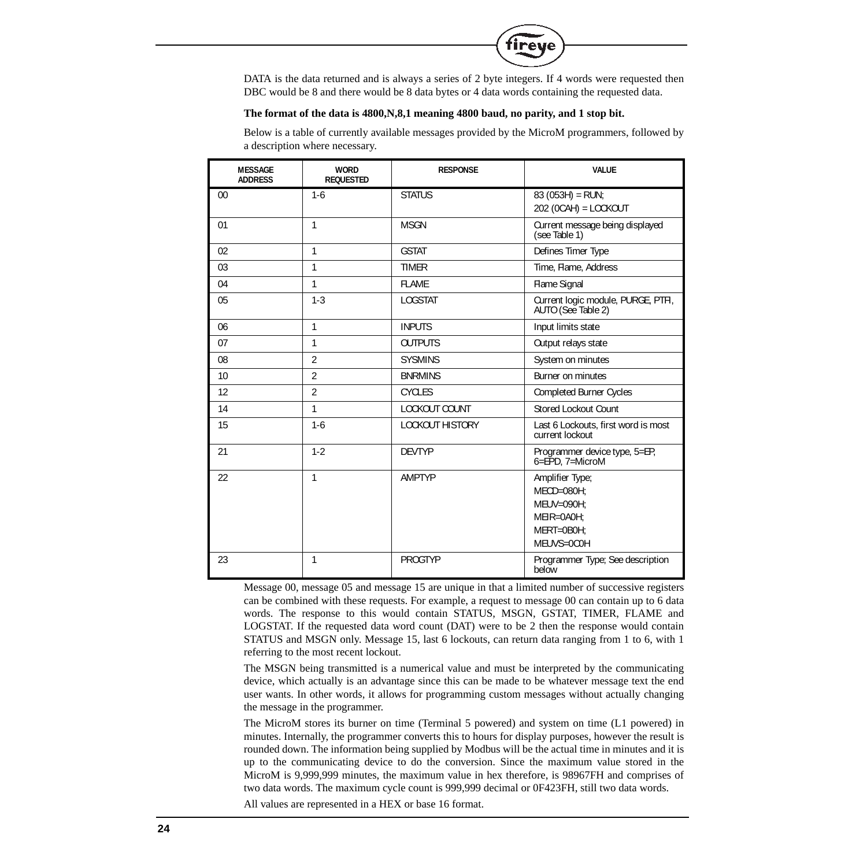

DATA is the data returned and is always a series of 2 byte integers. If 4 words were requested then DBC would be 8 and there would be 8 data bytes or 4 data words containing the requested data.

#### **The format of the data is 4800,N,8,1 meaning 4800 baud, no parity, and 1 stop bit.**

Below is a table of currently available messages provided by the MicroM programmers, followed by a description where necessary.

| <b>MESSAGE</b><br><b>ADDRESS</b> | <b>WORD</b><br><b>REQUESTED</b> | <b>RESPONSE</b> | <b>VALUE</b>                                                                          |
|----------------------------------|---------------------------------|-----------------|---------------------------------------------------------------------------------------|
| 00                               | $1-6$                           | <b>STATUS</b>   | $83 (053H) = RUN;$<br>202 (OCAH) = LOCKOUT                                            |
| 01                               | $\mathbf{1}$                    | <b>MSGN</b>     | Current message being displayed<br>(see Table 1)                                      |
| 02                               | 1                               | <b>GSTAT</b>    | Defines Timer Type                                                                    |
| 03                               | 1                               | <b>TIMER</b>    | Time, Flame, Address                                                                  |
| 04                               | 1                               | <b>FLAME</b>    | Flame Signal                                                                          |
| 05                               | $1 - 3$                         | <b>LOGSTAT</b>  | Current logic module, PURGE, PTFI,<br>AUTO (See Table 2)                              |
| 06                               | $\mathbf{1}$                    | <b>INPUTS</b>   | Input limits state                                                                    |
| 07                               | $\mathbf{1}$                    | <b>OUTPUTS</b>  | Output relays state                                                                   |
| 08                               | $\overline{2}$                  | <b>SYSMINS</b>  | System on minutes                                                                     |
| 10                               | $\overline{2}$                  | <b>BNRMINS</b>  | Burner on minutes                                                                     |
| 12                               | $\overline{2}$                  | <b>CYCLES</b>   | <b>Completed Burner Cycles</b>                                                        |
| 14                               | $\mathbf{1}$                    | LOCKOUT COUNT   | <b>Stored Lockout Count</b>                                                           |
| 15                               | $1 - 6$                         | LOCKOUT HISTORY | Last 6 Lockouts, first word is most<br>current lockout                                |
| 21                               | $1 - 2$                         | <b>DEVTYP</b>   | Programmer device type, 5=EP,<br>6=EPD, 7=MicroM                                      |
| 22                               | $\mathbf{1}$                    | <b>AMPTYP</b>   | Amplifier Type;<br>MECD=080H:<br>MEUV=090H;<br>MEIR=0A0H:<br>MERT=0B0H:<br>MEUVS=0C0H |
| 23                               | 1                               | <b>PROGTYP</b>  | Programmer Type; See description<br>below                                             |

Message 00, message 05 and message 15 are unique in that a limited number of successive registers can be combined with these requests. For example, a request to message 00 can contain up to 6 data words. The response to this would contain STATUS, MSGN, GSTAT, TIMER, FLAME and LOGSTAT. If the requested data word count (DAT) were to be 2 then the response would contain STATUS and MSGN only. Message 15, last 6 lockouts, can return data ranging from 1 to 6, with 1 referring to the most recent lockout.

The MSGN being transmitted is a numerical value and must be interpreted by the communicating device, which actually is an advantage since this can be made to be whatever message text the end user wants. In other words, it allows for programming custom messages without actually changing the message in the programmer.

The MicroM stores its burner on time (Terminal 5 powered) and system on time (L1 powered) in minutes. Internally, the programmer converts this to hours for display purposes, however the result is rounded down. The information being supplied by Modbus will be the actual time in minutes and it is up to the communicating device to do the conversion. Since the maximum value stored in the MicroM is 9,999,999 minutes, the maximum value in hex therefore, is 98967FH and comprises of two data words. The maximum cycle count is 999,999 decimal or 0F423FH, still two data words.

All values are represented in a HEX or base 16 format.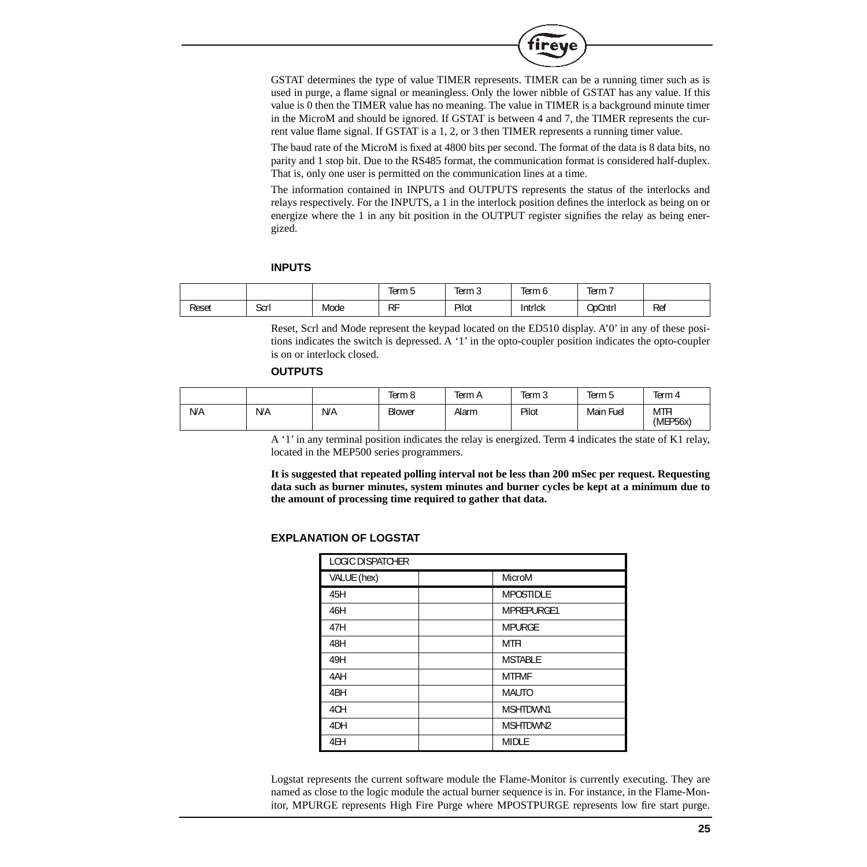

GSTAT determines the type of value TIMER represents. TIMER can be a running timer such as is used in purge, a flame signal or meaningless. Only the lower nibble of GSTAT has any value. If this value is 0 then the TIMER value has no meaning. The value in TIMER is a background minute timer in the MicroM and should be ignored. If GSTAT is between 4 and 7, the TIMER represents the current value flame signal. If GSTAT is a 1, 2, or 3 then TIMER represents a running timer value.

The baud rate of the MicroM is fixed at 4800 bits per second. The format of the data is 8 data bits, no parity and 1 stop bit. Due to the RS485 format, the communication format is considered half-duplex. That is, only one user is permitted on the communication lines at a time.

The information contained in INPUTS and OUTPUTS represents the status of the interlocks and relays respectively. For the INPUTS, a 1 in the interlock position defines the interlock as being on or energize where the 1 in any bit position in the OUTPUT register signifies the relay as being energized.

#### **INPUTS**

|       |                          |      | lerm 5   | $ -$<br>Term 3 | $\overline{\phantom{0}}$<br>lerm 6 | $\sim$<br>Term |     |
|-------|--------------------------|------|----------|----------------|------------------------------------|----------------|-----|
| Reset | $\sim$<br>$\sim$<br>JU I | Mode | DE<br>πr | Pilot          | Intrick                            | OpCntrl        | Ret |

Reset, Scrl and Mode represent the keypad located on the ED510 display. A'0' in any of these positions indicates the switch is depressed. A '1' in the opto-coupler position indicates the opto-coupler is on or interlock closed.

#### **OUTPUTS**

|     |     |     | Term 8        | Term A | $\overline{\phantom{0}}$<br>Term 3 | Term 5    | Term 4                 |
|-----|-----|-----|---------------|--------|------------------------------------|-----------|------------------------|
| N/A | N/A | N/A | <b>Blower</b> | Alarm  | Pilot                              | Main Fuel | <b>MTF</b><br>(MEP56x) |

A '1' in any terminal position indicates the relay is energized. Term 4 indicates the state of K1 relay, located in the MEP500 series programmers.

**It is suggested that repeated polling interval not be less than 200 mSec per request. Requesting data such as burner minutes, system minutes and burner cycles be kept at a minimum due to the amount of processing time required to gather that data.**

#### **EXPLANATION OF LOGSTAT**

| <b>LOGIC DISPATCHER</b> |  |                  |  |  |  |  |
|-------------------------|--|------------------|--|--|--|--|
| VALUE (hex)             |  | MicroM           |  |  |  |  |
| 45H                     |  | <b>MPOSTIDLE</b> |  |  |  |  |
| 46H                     |  | MPREPURGE1       |  |  |  |  |
| 47H                     |  | <b>MPURGE</b>    |  |  |  |  |
| 48H                     |  | <b>MTFI</b>      |  |  |  |  |
| 49H                     |  | <b>MSTABLE</b>   |  |  |  |  |
| 4AH                     |  | <b>MTFMF</b>     |  |  |  |  |
| 4BH                     |  | <b>MAUTO</b>     |  |  |  |  |
| 4CH                     |  | MSHTDWN1         |  |  |  |  |
| 4DH                     |  | MSHTDWN2         |  |  |  |  |
| 4EH                     |  | <b>MIDLE</b>     |  |  |  |  |

Logstat represents the current software module the Flame-Monitor is currently executing. They are named as close to the logic module the actual burner sequence is in. For instance, in the Flame-Monitor, MPURGE represents High Fire Purge where MPOSTPURGE represents low fire start purge.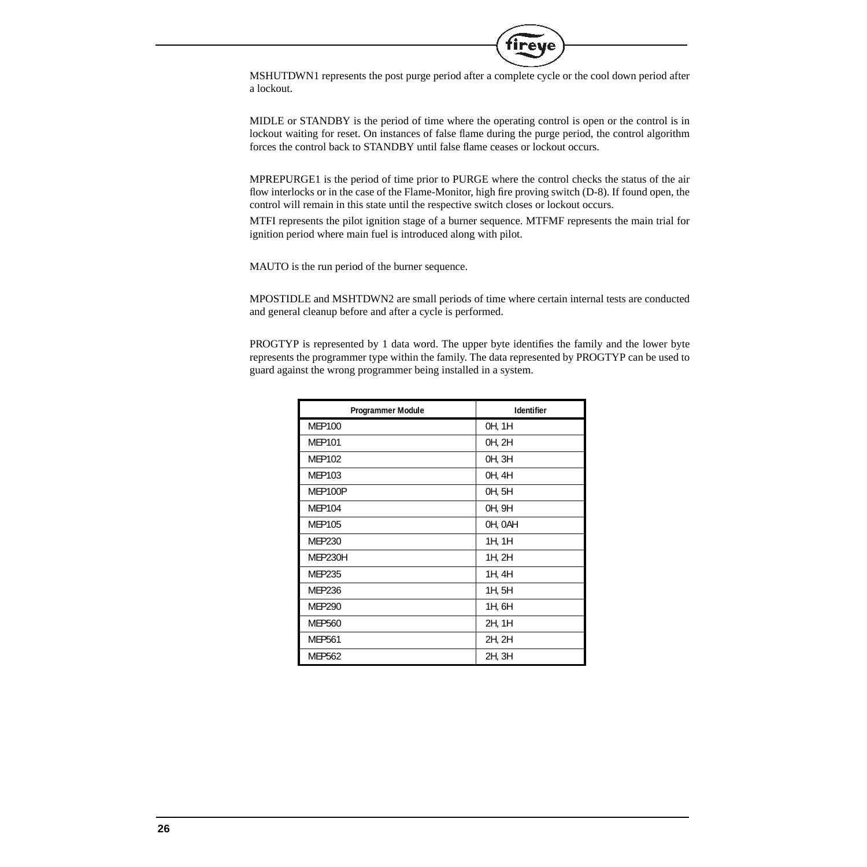

 $( R )$ 

reve

MIDLE or STANDBY is the period of time where the operating control is open or the control is in lockout waiting for reset. On instances of false flame during the purge period, the control algorithm forces the control back to STANDBY until false flame ceases or lockout occurs.

MPREPURGE1 is the period of time prior to PURGE where the control checks the status of the air flow interlocks or in the case of the Flame-Monitor, high fire proving switch (D-8). If found open, the control will remain in this state until the respective switch closes or lockout occurs.

MTFI represents the pilot ignition stage of a burner sequence. MTFMF represents the main trial for ignition period where main fuel is introduced along with pilot.

MAUTO is the run period of the burner sequence.

MPOSTIDLE and MSHTDWN2 are small periods of time where certain internal tests are conducted and general cleanup before and after a cycle is performed.

PROGTYP is represented by 1 data word. The upper byte identifies the family and the lower byte represents the programmer type within the family. The data represented by PROGTYP can be used to guard against the wrong programmer being installed in a system.

| Programmer Module | <b>Identifier</b> |
|-------------------|-------------------|
| <b>MEP100</b>     | 0H, 1H            |
| <b>MEP101</b>     | 0H, 2H            |
| <b>MEP102</b>     | 0H, 3H            |
| <b>MEP103</b>     | 0H, 4H            |
| MEP100P           | 0H, 5H            |
| <b>MEP104</b>     | 0H, 9H            |
| <b>MEP105</b>     | OH, OAH           |
| <b>MEP230</b>     | 1H, 1H            |
| MEP230H           | 1H, 2H            |
| <b>MEP235</b>     | 1H, 4H            |
| <b>MEP236</b>     | 1H, 5H            |
| <b>MEP290</b>     | 1H, 6H            |
| <b>MEP560</b>     | 2H, 1H            |
| <b>MEP561</b>     | 2H, 2H            |
| <b>MEP562</b>     | 2H, 3H            |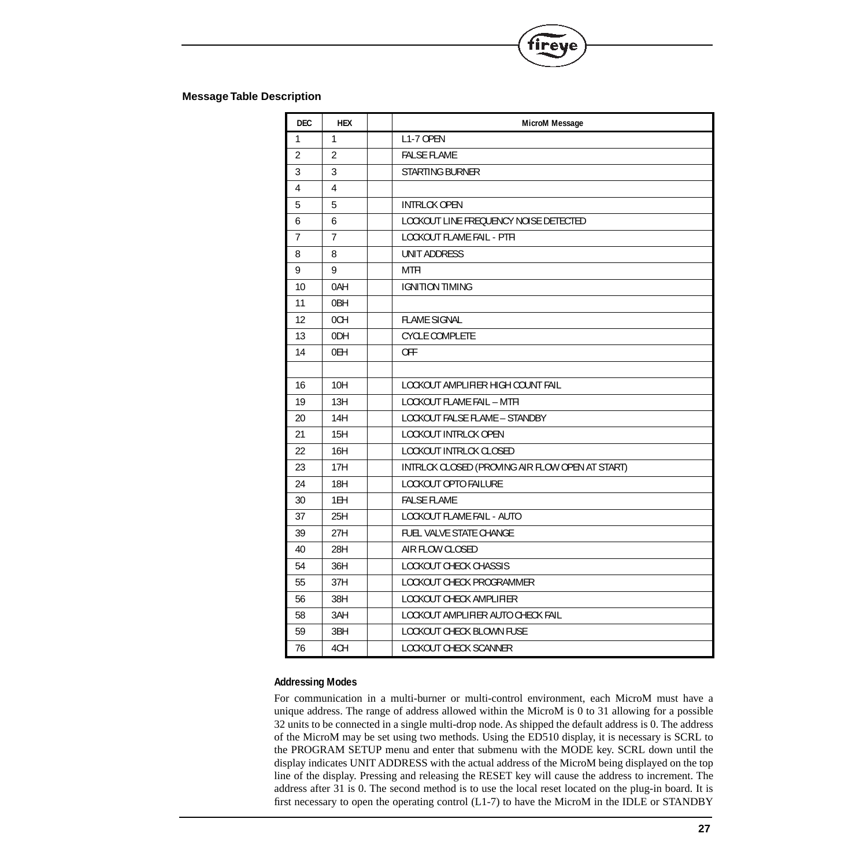

 $^{\circledR}$ 

#### **Message Table Description**

| <b>DEC</b>     | <b>HEX</b>      | <b>MicroM Message</b>                           |
|----------------|-----------------|-------------------------------------------------|
| 1              | 1               | L1-7 OPEN                                       |
| $\overline{2}$ | 2               | <b>FALSE FLAME</b>                              |
| $\mathfrak{Z}$ | $\mathfrak{Z}$  | <b>STARTING BURNER</b>                          |
| 4              | 4               |                                                 |
| 5              | 5               | <b>INTRLCK OPEN</b>                             |
| 6              | 6               | LOCKOUT LINE FREQUENCY NOISE DETECTED           |
| 7              | $\overline{7}$  | LOCKOUT FLAME FAIL - PTFI                       |
| 8              | 8               | <b>UNIT ADDRESS</b>                             |
| 9              | 9               | <b>MTFI</b>                                     |
| 10             | 0AH             | <b>IGNITION TIMING</b>                          |
| 11             | 0BH             |                                                 |
| 12             | 0CH             | <b>FLAME SIGNAL</b>                             |
| 13             | 0 <sub>DH</sub> | <b>CYCLE COMPLETE</b>                           |
| 14             | 0EH             | 0FF                                             |
|                |                 |                                                 |
| 16             | 10H             | LOCKOUT AMPLIFIER HIGH COUNT FAIL               |
| 19             | 13H             | <b>LOCKOUT FLAME FAIL - MTFI</b>                |
| 20             | 14H             | LOCKOUT FALSE FLAME - STANDBY                   |
| 21             | 15H             | <b>LOCKOUT INTRLCK OPEN</b>                     |
| 22             | 16H             | LOCKOUT INTRLCK CLOSED                          |
| 23             | 17H             | INTRLCK CLOSED (PROVING AIR FLOW OPEN AT START) |
| 24             | 18H             | <b>LOCKOUT OPTO FAILURE</b>                     |
| 30             | 1EH             | <b>FALSE FLAME</b>                              |
| 37             | 25H             | LOCKOUT FLAME FAIL - AUTO                       |
| 39             | 27H             | <b>FUEL VALVE STATE CHANGE</b>                  |
| 40             | 28H             | AIR FLOW CLOSED                                 |
| 54             | 36H             | <b>LOCKOUT CHECK CHASSIS</b>                    |
| 55             | 37H             | LOCKOUT CHECK PROGRAMMER                        |
| 56             | 38H             | <b>LOCKOUT CHECK AMPLIFIER</b>                  |
| 58             | 3AH             | LOCKOUT AMPLIFIER AUTO CHECK FAIL               |
| 59             | 3BH             | LOCKOUT CHECK BLOWN FUSE                        |
| 76             | 4CH             | <b>LOCKOUT CHECK SCANNER</b>                    |

#### **Addressing Modes**

For communication in a multi-burner or multi-control environment, each MicroM must have a unique address. The range of address allowed within the MicroM is 0 to 31 allowing for a possible 32 units to be connected in a single multi-drop node. As shipped the default address is 0. The address of the MicroM may be set using two methods. Using the ED510 display, it is necessary is SCRL to the PROGRAM SETUP menu and enter that submenu with the MODE key. SCRL down until the display indicates UNIT ADDRESS with the actual address of the MicroM being displayed on the top line of the display. Pressing and releasing the RESET key will cause the address to increment. The address after 31 is 0. The second method is to use the local reset located on the plug-in board. It is first necessary to open the operating control (L1-7) to have the MicroM in the IDLE or STANDBY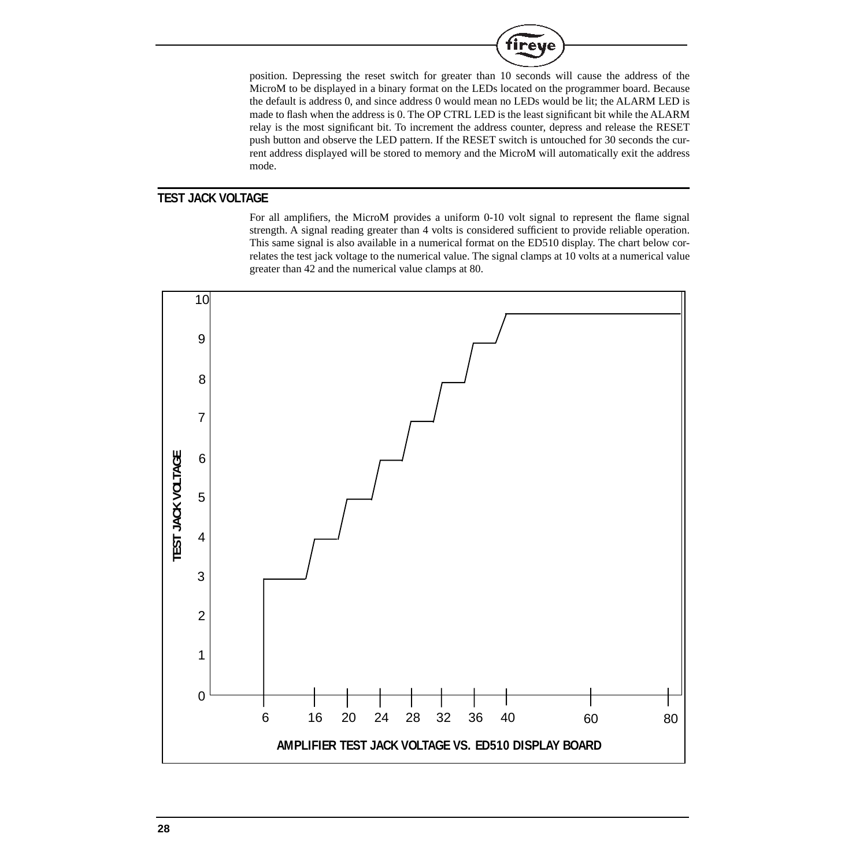

position. Depressing the reset switch for greater than 10 seconds will cause the address of the MicroM to be displayed in a binary format on the LEDs located on the programmer board. Because the default is address 0, and since address 0 would mean no LEDs would be lit; the ALARM LED is made to flash when the address is 0. The OP CTRL LED is the least significant bit while the ALARM relay is the most significant bit. To increment the address counter, depress and release the RESET push button and observe the LED pattern. If the RESET switch is untouched for 30 seconds the current address displayed will be stored to memory and the MicroM will automatically exit the address mode.

# **TEST JACK VOLTAGE**

For all amplifiers, the MicroM provides a uniform 0-10 volt signal to represent the flame signal strength. A signal reading greater than 4 volts is considered sufficient to provide reliable operation. This same signal is also available in a numerical format on the ED510 display. The chart below correlates the test jack voltage to the numerical value. The signal clamps at 10 volts at a numerical value greater than 42 and the numerical value clamps at 80.

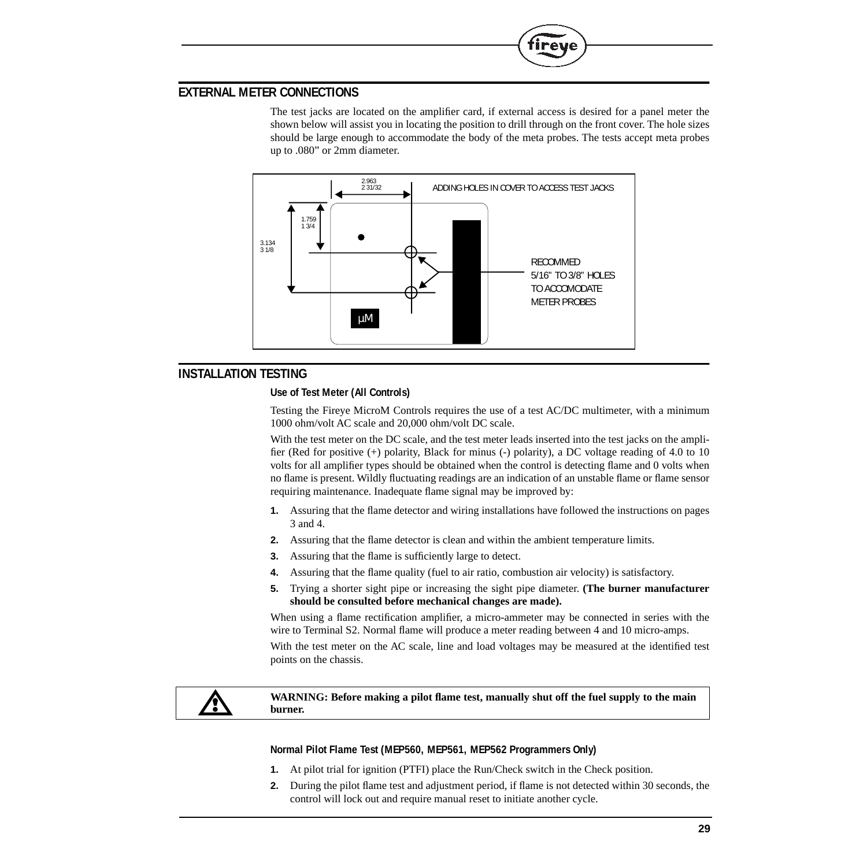

The test jacks are located on the amplifier card, if external access is desired for a panel meter the shown below will assist you in locating the position to drill through on the front cover. The hole sizes should be large enough to accommodate the body of the meta probes. The tests accept meta probes up to .080" or 2mm diameter.

 $^{\circledR}$ 



# **INSTALLATION TESTING**

# **Use of Test Meter (All Controls)**

Testing the Fireye MicroM Controls requires the use of a test AC/DC multimeter, with a minimum 1000 ohm/volt AC scale and 20,000 ohm/volt DC scale.

With the test meter on the DC scale, and the test meter leads inserted into the test jacks on the amplifier (Red for positive (+) polarity, Black for minus (-) polarity), a DC voltage reading of 4.0 to 10 volts for all amplifier types should be obtained when the control is detecting flame and 0 volts when no flame is present. Wildly fluctuating readings are an indication of an unstable flame or flame sensor requiring maintenance. Inadequate flame signal may be improved by:

- **1.** Assuring that the flame detector and wiring installations have followed the instructions on pages 3 and 4.
- **2.** Assuring that the flame detector is clean and within the ambient temperature limits.
- **3.** Assuring that the flame is sufficiently large to detect.
- **4.** Assuring that the flame quality (fuel to air ratio, combustion air velocity) is satisfactory.
- **5.** Trying a shorter sight pipe or increasing the sight pipe diameter. **(The burner manufacturer should be consulted before mechanical changes are made).**

When using a flame rectification amplifier, a micro-ammeter may be connected in series with the wire to Terminal S2. Normal flame will produce a meter reading between 4 and 10 micro-amps.

With the test meter on the AC scale, line and load voltages may be measured at the identified test points on the chassis.



**WARNING: Before making a pilot flame test, manually shut off the fuel supply to the main burner.**

#### **Normal Pilot Flame Test (MEP560, MEP561, MEP562 Programmers Only)**

- **1.** At pilot trial for ignition (PTFI) place the Run/Check switch in the Check position.
- **2.** During the pilot flame test and adjustment period, if flame is not detected within 30 seconds, the control will lock out and require manual reset to initiate another cycle.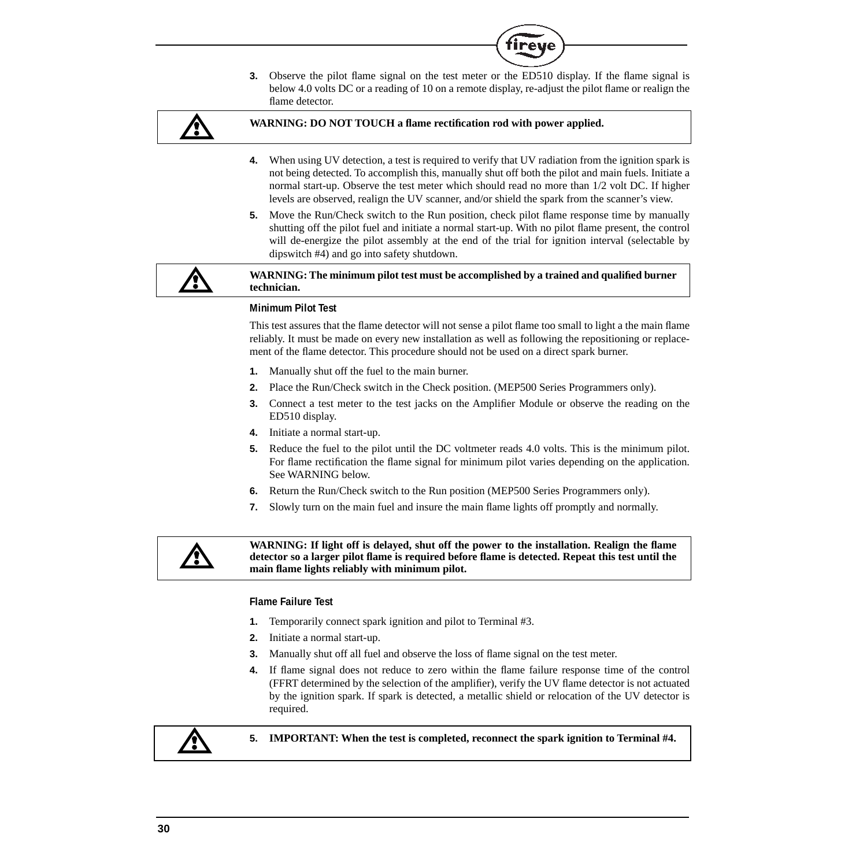**3.** Observe the pilot flame signal on the test meter or the ED510 display. If the flame signal is below 4.0 volts DC or a reading of 10 on a remote display, re-adjust the pilot flame or realign the flame detector.

(R)

reve



**WARNING: DO NOT TOUCH a flame rectification rod with power applied.**

- **4.** When using UV detection, a test is required to verify that UV radiation from the ignition spark is not being detected. To accomplish this, manually shut off both the pilot and main fuels. Initiate a normal start-up. Observe the test meter which should read no more than 1/2 volt DC. If higher levels are observed, realign the UV scanner, and/or shield the spark from the scanner's view.
- **5.** Move the Run/Check switch to the Run position, check pilot flame response time by manually shutting off the pilot fuel and initiate a normal start-up. With no pilot flame present, the control will de-energize the pilot assembly at the end of the trial for ignition interval (selectable by dipswitch #4) and go into safety shutdown.

**WARNING: The minimum pilot test must be accomplished by a trained and qualified burner technician.**

#### **Minimum Pilot Test**

This test assures that the flame detector will not sense a pilot flame too small to light a the main flame reliably. It must be made on every new installation as well as following the repositioning or replacement of the flame detector. This procedure should not be used on a direct spark burner.

- **1.** Manually shut off the fuel to the main burner.
- **2.** Place the Run/Check switch in the Check position. (MEP500 Series Programmers only).
- **3.** Connect a test meter to the test jacks on the Amplifier Module or observe the reading on the ED510 display.
- **4.** Initiate a normal start-up.
- **5.** Reduce the fuel to the pilot until the DC voltmeter reads 4.0 volts. This is the minimum pilot. For flame rectification the flame signal for minimum pilot varies depending on the application. See WARNING below.
- **6.** Return the Run/Check switch to the Run position (MEP500 Series Programmers only).
- **7.** Slowly turn on the main fuel and insure the main flame lights off promptly and normally.

**WARNING: If light off is delayed, shut off the power to the installation. Realign the flame detector so a larger pilot flame is required before flame is detected. Repeat this test until the main flame lights reliably with minimum pilot.**

#### **Flame Failure Test**

- **1.** Temporarily connect spark ignition and pilot to Terminal #3.
- **2.** Initiate a normal start-up.
- **3.** Manually shut off all fuel and observe the loss of flame signal on the test meter.
- **4.** If flame signal does not reduce to zero within the flame failure response time of the control (FFRT determined by the selection of the amplifier), verify the UV flame detector is not actuated by the ignition spark. If spark is detected, a metallic shield or relocation of the UV detector is required.



**5. IMPORTANT: When the test is completed, reconnect the spark ignition to Terminal #4.**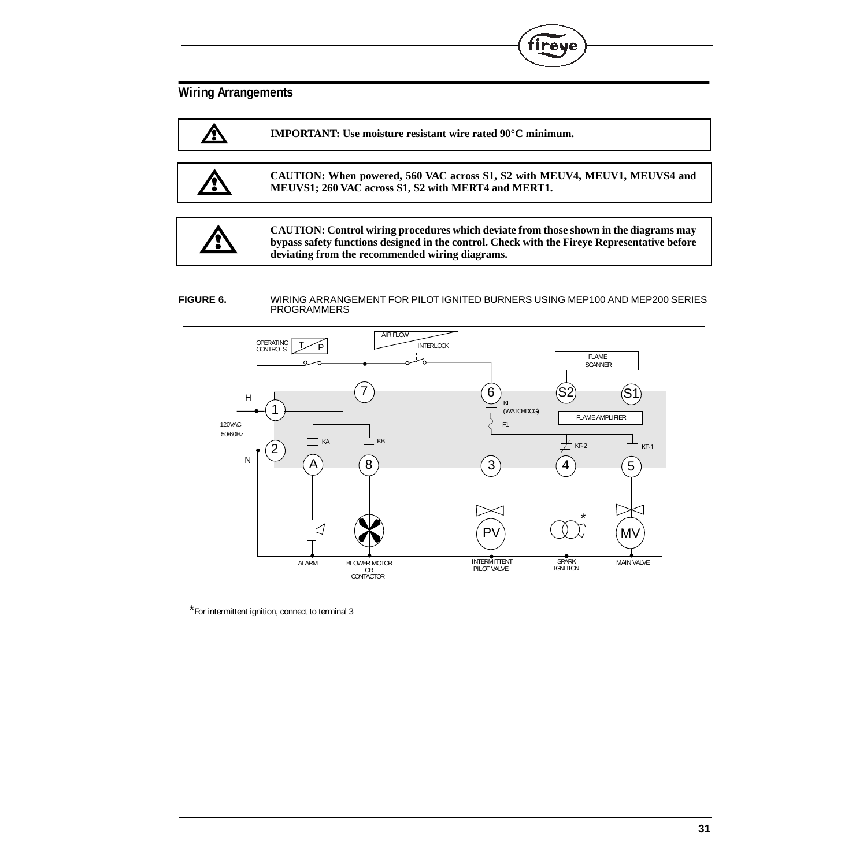# **Wiring Arrangements**

**IMPORTANT: Use moisture resistant wire rated 90°C minimum. CAUTION: When powered, 560 VAC across S1, S2 with MEUV4, MEUV1, MEUVS4 and MEUVS1; 260 VAC across S1, S2 with MERT4 and MERT1.**

I

**CAUTION: Control wiring procedures which deviate from those shown in the diagrams may bypass safety functions designed in the control. Check with the Fireye Representative before deviating from the recommended wiring diagrams.**

 $^{\circledR}$ 

٠e

#### **FIGURE 6.** WIRING ARRANGEMENT FOR PILOT IGNITED BURNERS USING MEP100 AND MEP200 SERIES PROGRAMMERS



\*For intermittent ignition, connect to terminal 3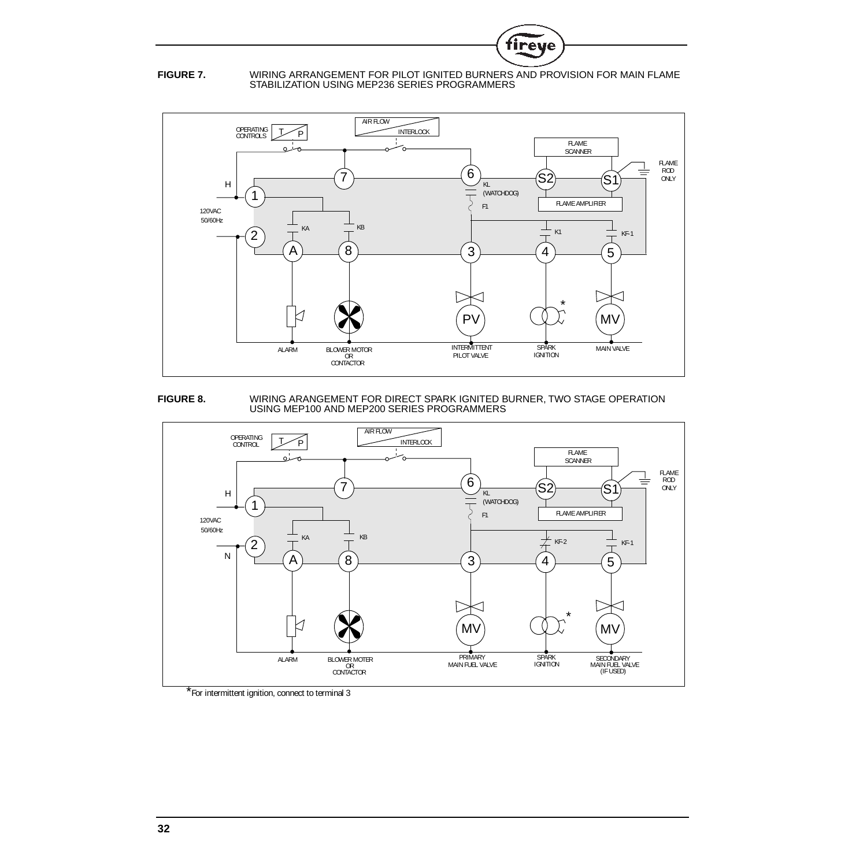

**FIGURE 7.** WIRING ARRANGEMENT FOR PILOT IGNITED BURNERS AND PROVISION FOR MAIN FLAME STABILIZATION USING MEP236 SERIES PROGRAMMERS



#### **FIGURE 8.** WIRING ARANGEMENT FOR DIRECT SPARK IGNITED BURNER, TWO STAGE OPERATION USING MEP100 AND MEP200 SERIES PROGRAMMERS



\*For intermittent ignition, connect to terminal 3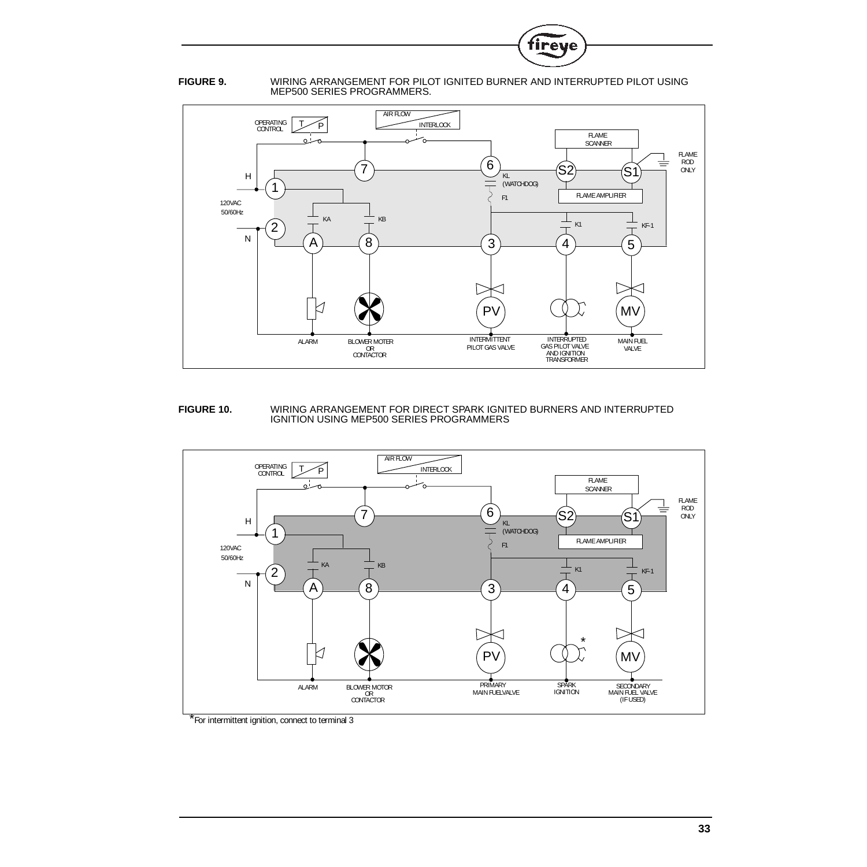



#### **FIGURE 10.** WIRING ARRANGEMENT FOR DIRECT SPARK IGNITED BURNERS AND INTERRUPTED IGNITION USING MEP500 SERIES PROGRAMMERS



\*For intermittent ignition, connect to terminal 3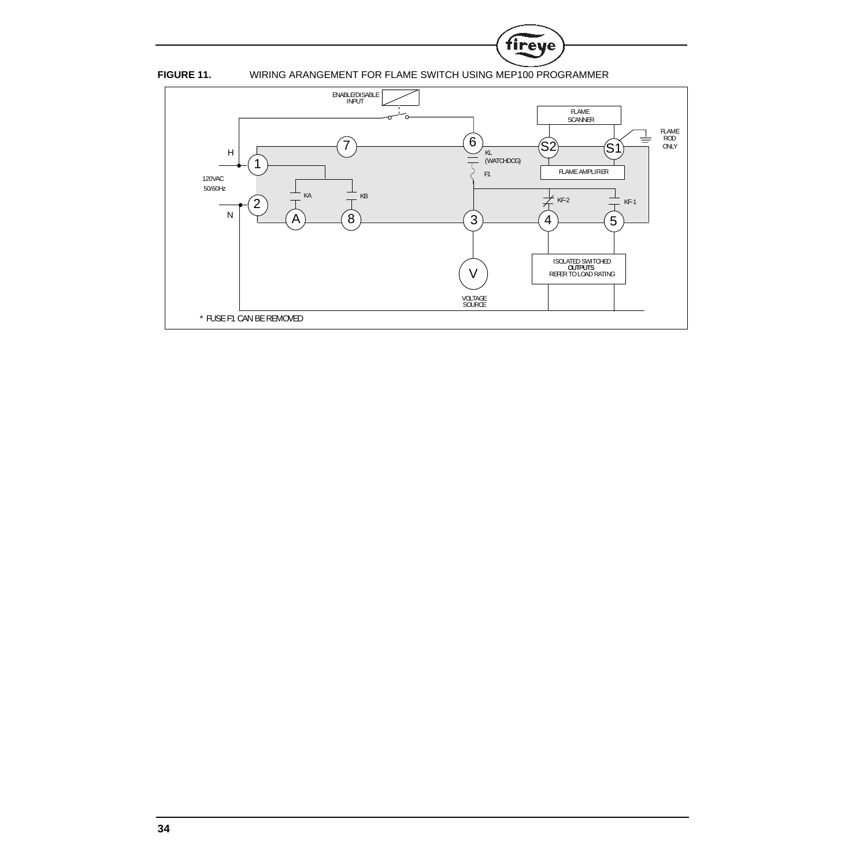



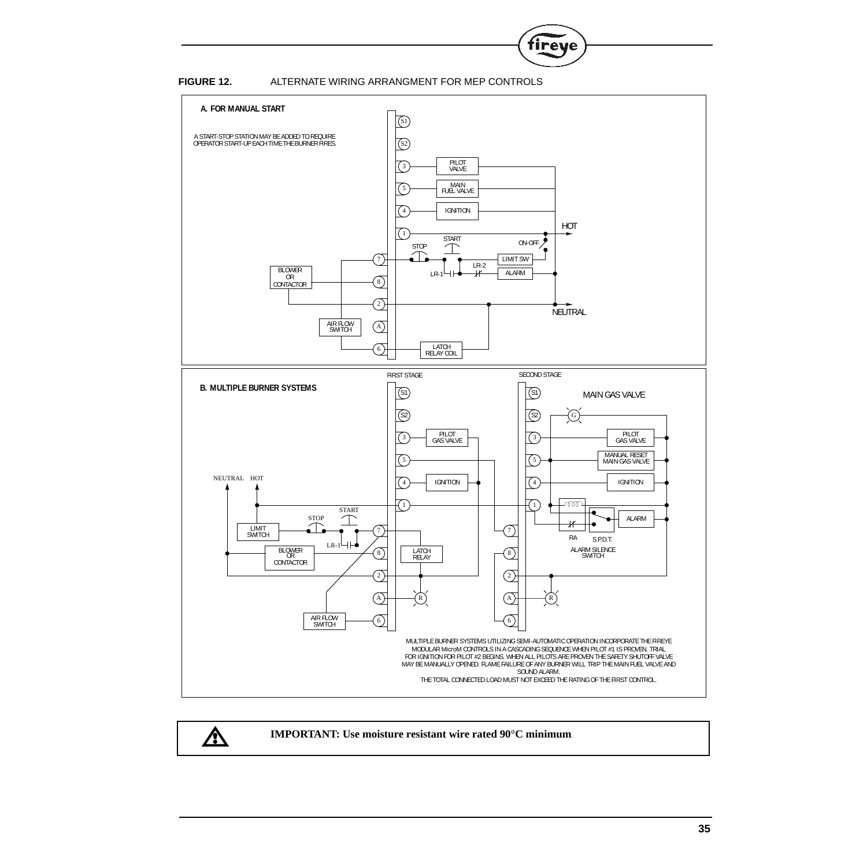



 $^{\circledR}$ 

ireve

**IMPORTANT: Use moisture resistant wire rated 90°C minimum**.

<u> A</u>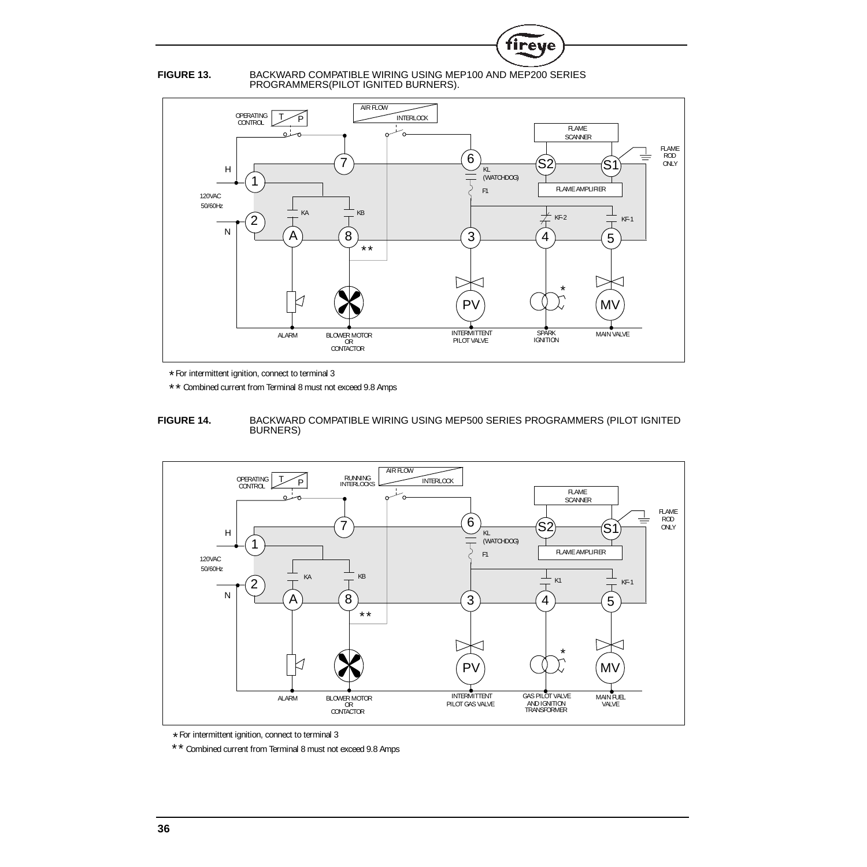





\*For intermittent ignition, connect to terminal 3

\*\*Combined current from Terminal 8 must not exceed 9.8 Amps

#### **FIGURE 14.** BACKWARD COMPATIBLE WIRING USING MEP500 SERIES PROGRAMMERS (PILOT IGNITED BURNERS)



\*For intermittent ignition, connect to terminal 3

\*\*Combined current from Terminal 8 must not exceed 9.8 Amps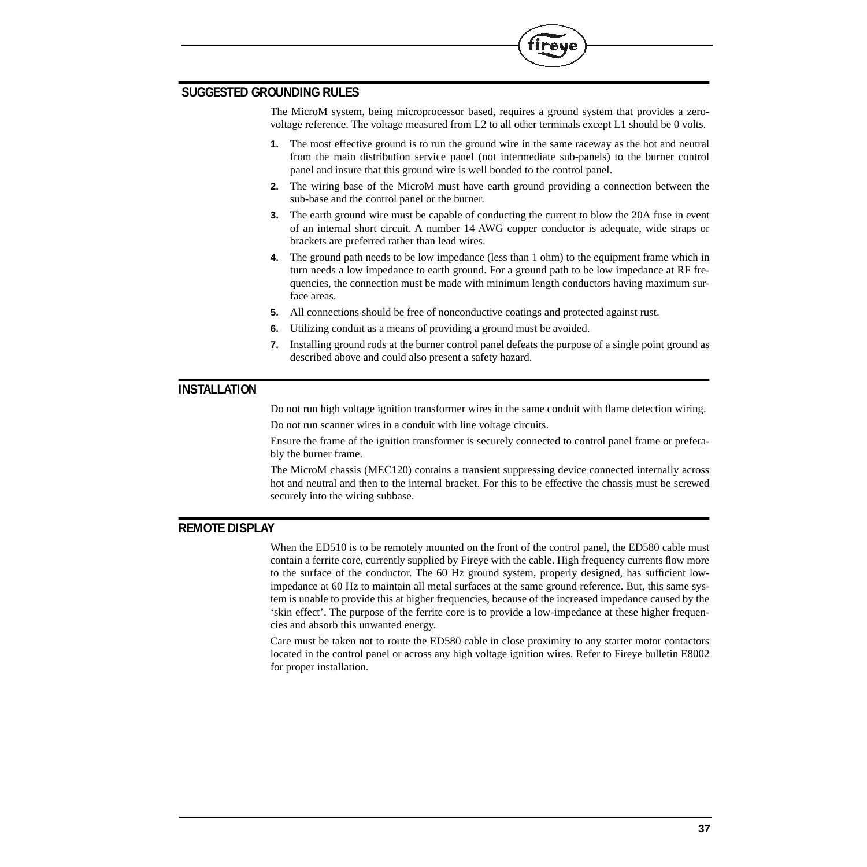# **SUGGESTED GROUNDING RULES**

The MicroM system, being microprocessor based, requires a ground system that provides a zerovoltage reference. The voltage measured from L2 to all other terminals except L1 should be 0 volts.

 $^{\circledR}$ 

- **1.** The most effective ground is to run the ground wire in the same raceway as the hot and neutral from the main distribution service panel (not intermediate sub-panels) to the burner control panel and insure that this ground wire is well bonded to the control panel.
- **2.** The wiring base of the MicroM must have earth ground providing a connection between the sub-base and the control panel or the burner.
- **3.** The earth ground wire must be capable of conducting the current to blow the 20A fuse in event of an internal short circuit. A number 14 AWG copper conductor is adequate, wide straps or brackets are preferred rather than lead wires.
- **4.** The ground path needs to be low impedance (less than 1 ohm) to the equipment frame which in turn needs a low impedance to earth ground. For a ground path to be low impedance at RF frequencies, the connection must be made with minimum length conductors having maximum surface areas.
- **5.** All connections should be free of nonconductive coatings and protected against rust.
- **6.** Utilizing conduit as a means of providing a ground must be avoided.
- **7.** Installing ground rods at the burner control panel defeats the purpose of a single point ground as described above and could also present a safety hazard.

# **INSTALLATION**

Do not run high voltage ignition transformer wires in the same conduit with flame detection wiring.

Do not run scanner wires in a conduit with line voltage circuits.

Ensure the frame of the ignition transformer is securely connected to control panel frame or preferably the burner frame.

The MicroM chassis (MEC120) contains a transient suppressing device connected internally across hot and neutral and then to the internal bracket. For this to be effective the chassis must be screwed securely into the wiring subbase.

# **REMOTE DISPLAY**

When the ED510 is to be remotely mounted on the front of the control panel, the ED580 cable must contain a ferrite core, currently supplied by Fireye with the cable. High frequency currents flow more to the surface of the conductor. The 60 Hz ground system, properly designed, has sufficient lowimpedance at 60 Hz to maintain all metal surfaces at the same ground reference. But, this same system is unable to provide this at higher frequencies, because of the increased impedance caused by the 'skin effect'. The purpose of the ferrite core is to provide a low-impedance at these higher frequencies and absorb this unwanted energy.

Care must be taken not to route the ED580 cable in close proximity to any starter motor contactors located in the control panel or across any high voltage ignition wires. Refer to Fireye bulletin E8002 for proper installation.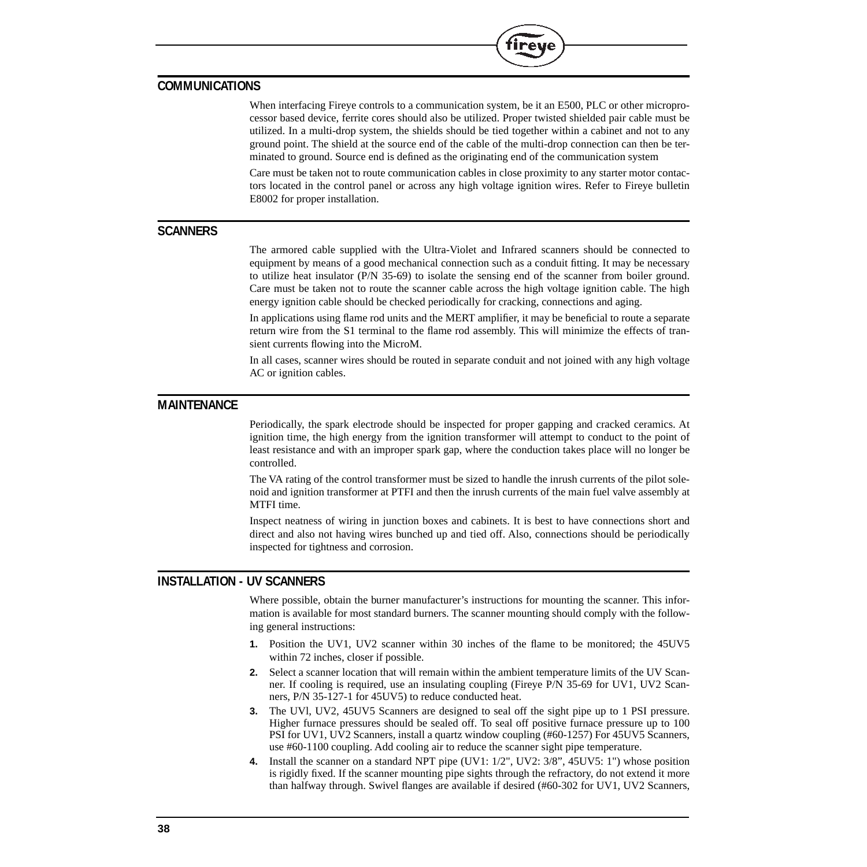# **COMMUNICATIONS**

When interfacing Fireye controls to a communication system, be it an E500, PLC or other microprocessor based device, ferrite cores should also be utilized. Proper twisted shielded pair cable must be utilized. In a multi-drop system, the shields should be tied together within a cabinet and not to any ground point. The shield at the source end of the cable of the multi-drop connection can then be terminated to ground. Source end is defined as the originating end of the communication system

**R** 

Care must be taken not to route communication cables in close proximity to any starter motor contactors located in the control panel or across any high voltage ignition wires. Refer to Fireye bulletin E8002 for proper installation.

# **SCANNERS**

The armored cable supplied with the Ultra-Violet and Infrared scanners should be connected to equipment by means of a good mechanical connection such as a conduit fitting. It may be necessary to utilize heat insulator (P/N 35-69) to isolate the sensing end of the scanner from boiler ground. Care must be taken not to route the scanner cable across the high voltage ignition cable. The high energy ignition cable should be checked periodically for cracking, connections and aging.

In applications using flame rod units and the MERT amplifier, it may be beneficial to route a separate return wire from the S1 terminal to the flame rod assembly. This will minimize the effects of transient currents flowing into the MicroM.

In all cases, scanner wires should be routed in separate conduit and not joined with any high voltage AC or ignition cables.

# **MAINTENANCE**

Periodically, the spark electrode should be inspected for proper gapping and cracked ceramics. At ignition time, the high energy from the ignition transformer will attempt to conduct to the point of least resistance and with an improper spark gap, where the conduction takes place will no longer be controlled.

The VA rating of the control transformer must be sized to handle the inrush currents of the pilot solenoid and ignition transformer at PTFI and then the inrush currents of the main fuel valve assembly at MTFI time.

Inspect neatness of wiring in junction boxes and cabinets. It is best to have connections short and direct and also not having wires bunched up and tied off. Also, connections should be periodically inspected for tightness and corrosion.

# **INSTALLATION - UV SCANNERS**

Where possible, obtain the burner manufacturer's instructions for mounting the scanner. This information is available for most standard burners. The scanner mounting should comply with the following general instructions:

- **1.** Position the UV1, UV2 scanner within 30 inches of the flame to be monitored; the 45UV5 within 72 inches, closer if possible.
- **2.** Select a scanner location that will remain within the ambient temperature limits of the UV Scanner. If cooling is required, use an insulating coupling (Fireye P/N 35-69 for UV1, UV2 Scanners, P/N 35-127-1 for 45UV5) to reduce conducted heat.
- **3.** The UVl, UV2, 45UV5 Scanners are designed to seal off the sight pipe up to 1 PSI pressure. Higher furnace pressures should be sealed off. To seal off positive furnace pressure up to 100 PSI for UV1, UV2 Scanners, install a quartz window coupling (#60-1257) For 45UV5 Scanners, use #60-1100 coupling. Add cooling air to reduce the scanner sight pipe temperature.
- **4.** Install the scanner on a standard NPT pipe (UV1: 1/2", UV2: 3/8", 45UV5: 1") whose position is rigidly fixed. If the scanner mounting pipe sights through the refractory, do not extend it more than halfway through. Swivel flanges are available if desired (#60-302 for UV1, UV2 Scanners,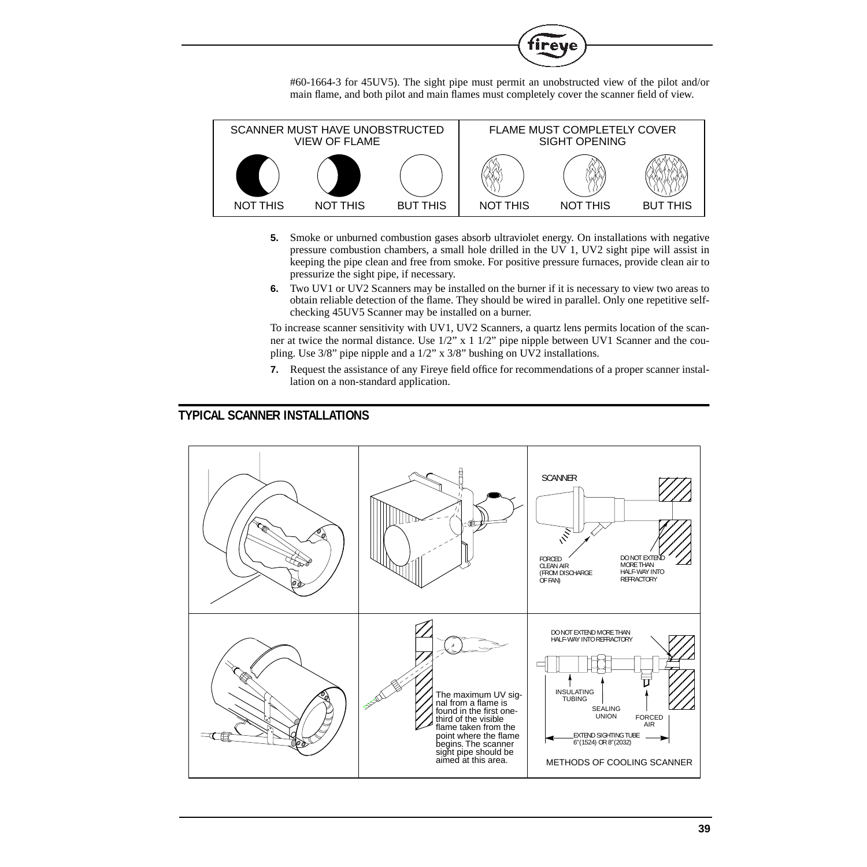

#60-1664-3 for 45UV5). The sight pipe must permit an unobstructed view of the pilot and/or main flame, and both pilot and main flames must completely cover the scanner field of view.



- **5.** Smoke or unburned combustion gases absorb ultraviolet energy. On installations with negative pressure combustion chambers, a small hole drilled in the UV 1, UV2 sight pipe will assist in keeping the pipe clean and free from smoke. For positive pressure furnaces, provide clean air to pressurize the sight pipe, if necessary.
- **6.** Two UV1 or UV2 Scanners may be installed on the burner if it is necessary to view two areas to obtain reliable detection of the flame. They should be wired in parallel. Only one repetitive selfchecking 45UV5 Scanner may be installed on a burner.

To increase scanner sensitivity with UV1, UV2 Scanners, a quartz lens permits location of the scanner at twice the normal distance. Use  $1/2$ " x  $1/2$ " pipe nipple between UV1 Scanner and the coupling. Use 3/8" pipe nipple and a 1/2" x 3/8" bushing on UV2 installations.

**7.** Request the assistance of any Fireye field office for recommendations of a proper scanner installation on a non-standard application.

# **TYPICAL SCANNER INSTALLATIONS**

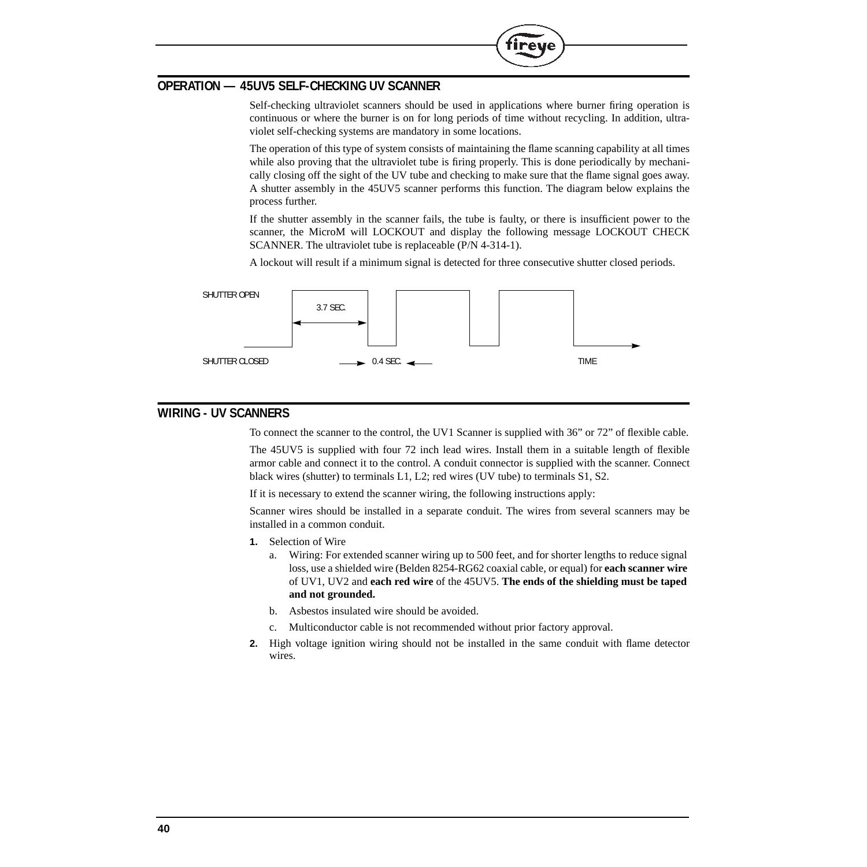# **OPERATION — 45UV5 SELF-CHECKING UV SCANNER**

Self-checking ultraviolet scanners should be used in applications where burner firing operation is continuous or where the burner is on for long periods of time without recycling. In addition, ultraviolet self-checking systems are mandatory in some locations.

 $^{\circledR}$ 

re

The operation of this type of system consists of maintaining the flame scanning capability at all times while also proving that the ultraviolet tube is firing properly. This is done periodically by mechanically closing off the sight of the UV tube and checking to make sure that the flame signal goes away. A shutter assembly in the 45UV5 scanner performs this function. The diagram below explains the process further.

If the shutter assembly in the scanner fails, the tube is faulty, or there is insufficient power to the scanner, the MicroM will LOCKOUT and display the following message LOCKOUT CHECK SCANNER. The ultraviolet tube is replaceable (P/N 4-314-1).

A lockout will result if a minimum signal is detected for three consecutive shutter closed periods.



#### **WIRING - UV SCANNERS**

To connect the scanner to the control, the UV1 Scanner is supplied with 36" or 72" of flexible cable.

The 45UV5 is supplied with four 72 inch lead wires. Install them in a suitable length of flexible armor cable and connect it to the control. A conduit connector is supplied with the scanner. Connect black wires (shutter) to terminals L1, L2; red wires (UV tube) to terminals S1, S2.

If it is necessary to extend the scanner wiring, the following instructions apply:

Scanner wires should be installed in a separate conduit. The wires from several scanners may be installed in a common conduit.

- **1.** Selection of Wire
	- a. Wiring: For extended scanner wiring up to 500 feet, and for shorter lengths to reduce signal loss, use a shielded wire (Belden 8254-RG62 coaxial cable, or equal) for **each scanner wire** of UV1, UV2 and **each red wire** of the 45UV5. **The ends of the shielding must be taped and not grounded.**
	- b. Asbestos insulated wire should be avoided.
	- c. Multiconductor cable is not recommended without prior factory approval.
- **2.** High voltage ignition wiring should not be installed in the same conduit with flame detector wires.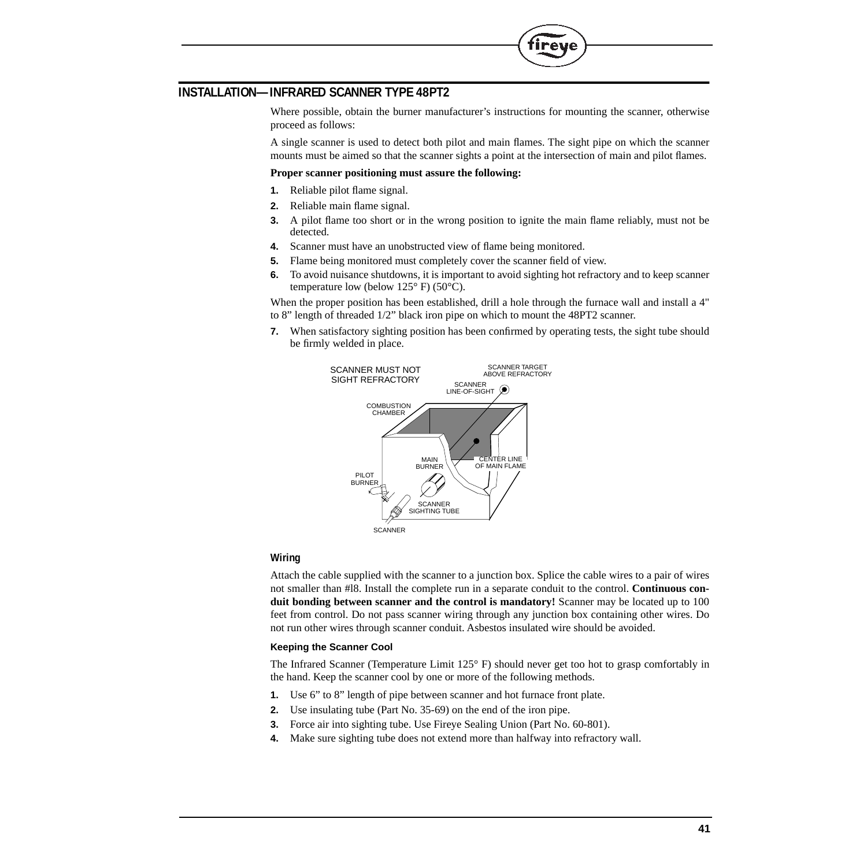

# **INSTALLATION—INFRARED SCANNER TYPE 48PT2**

Where possible, obtain the burner manufacturer's instructions for mounting the scanner, otherwise proceed as follows:

A single scanner is used to detect both pilot and main flames. The sight pipe on which the scanner mounts must be aimed so that the scanner sights a point at the intersection of main and pilot flames.

#### **Proper scanner positioning must assure the following:**

- **1.** Reliable pilot flame signal.
- **2.** Reliable main flame signal.
- **3.** A pilot flame too short or in the wrong position to ignite the main flame reliably, must not be detected.
- **4.** Scanner must have an unobstructed view of flame being monitored.
- **5.** Flame being monitored must completely cover the scanner field of view.
- **6.** To avoid nuisance shutdowns, it is important to avoid sighting hot refractory and to keep scanner temperature low (below  $125^{\circ}$  F) (50 $^{\circ}$ C).

When the proper position has been established, drill a hole through the furnace wall and install a 4" to 8" length of threaded 1/2" black iron pipe on which to mount the 48PT2 scanner.

**7.** When satisfactory sighting position has been confirmed by operating tests, the sight tube should be firmly welded in place.



# **Wiring**

Attach the cable supplied with the scanner to a junction box. Splice the cable wires to a pair of wires not smaller than #l8. Install the complete run in a separate conduit to the control. **Continuous conduit bonding between scanner and the control is mandatory!** Scanner may be located up to 100 feet from control. Do not pass scanner wiring through any junction box containing other wires. Do not run other wires through scanner conduit. Asbestos insulated wire should be avoided.

#### **Keeping the Scanner Cool**

The Infrared Scanner (Temperature Limit  $125^{\circ}$  F) should never get too hot to grasp comfortably in the hand. Keep the scanner cool by one or more of the following methods.

- **1.** Use 6" to 8" length of pipe between scanner and hot furnace front plate.
- **2.** Use insulating tube (Part No. 35-69) on the end of the iron pipe.
- **3.** Force air into sighting tube. Use Fireye Sealing Union (Part No. 60-801).
- **4.** Make sure sighting tube does not extend more than halfway into refractory wall.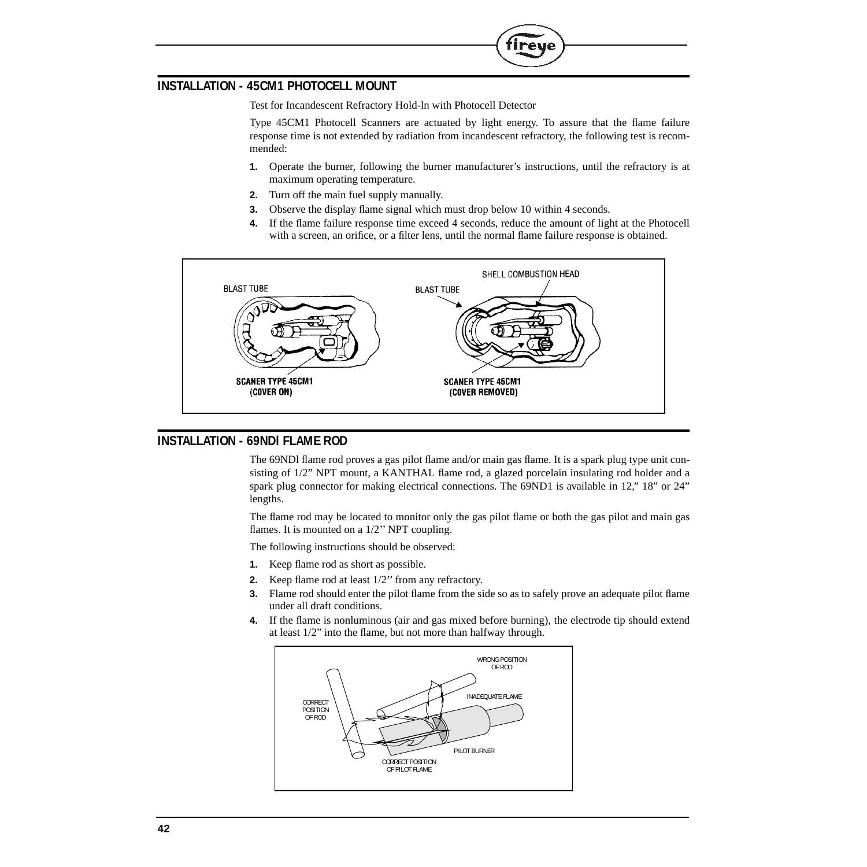# **INSTALLATION - 45CM1 PHOTOCELL MOUNT**

Test for Incandescent Refractory Hold-ln with Photocell Detector

Type 45CM1 Photocell Scanners are actuated by light energy. To assure that the flame failure response time is not extended by radiation from incandescent refractory, the following test is recommended:

 $^{\circledR}$ 

- **1.** Operate the burner, following the burner manufacturer's instructions, until the refractory is at maximum operating temperature.
- **2.** Turn off the main fuel supply manually.
- **3.** Observe the display flame signal which must drop below 10 within 4 seconds.
- **4.** If the flame failure response time exceed 4 seconds, reduce the amount of light at the Photocell with a screen, an orifice, or a filter lens, until the normal flame failure response is obtained.



# **INSTALLATION - 69NDl FLAME ROD**

The 69NDl flame rod proves a gas pilot flame and/or main gas flame. It is a spark plug type unit consisting of 1/2" NPT mount, a KANTHAL flame rod, a glazed porcelain insulating rod holder and a spark plug connector for making electrical connections. The 69ND1 is available in 12," 18" or 24" lengths.

The flame rod may be located to monitor only the gas pilot flame or both the gas pilot and main gas flames. It is mounted on a 1/2" NPT coupling.

The following instructions should be observed:

- **1.** Keep flame rod as short as possible.
- **2.** Keep flame rod at least 1/2'' from any refractory.
- **3.** Flame rod should enter the pilot flame from the side so as to safely prove an adequate pilot flame under all draft conditions.
- **4.** If the flame is nonluminous (air and gas mixed before burning), the electrode tip should extend at least 1/2" into the flame, but not more than halfway through.

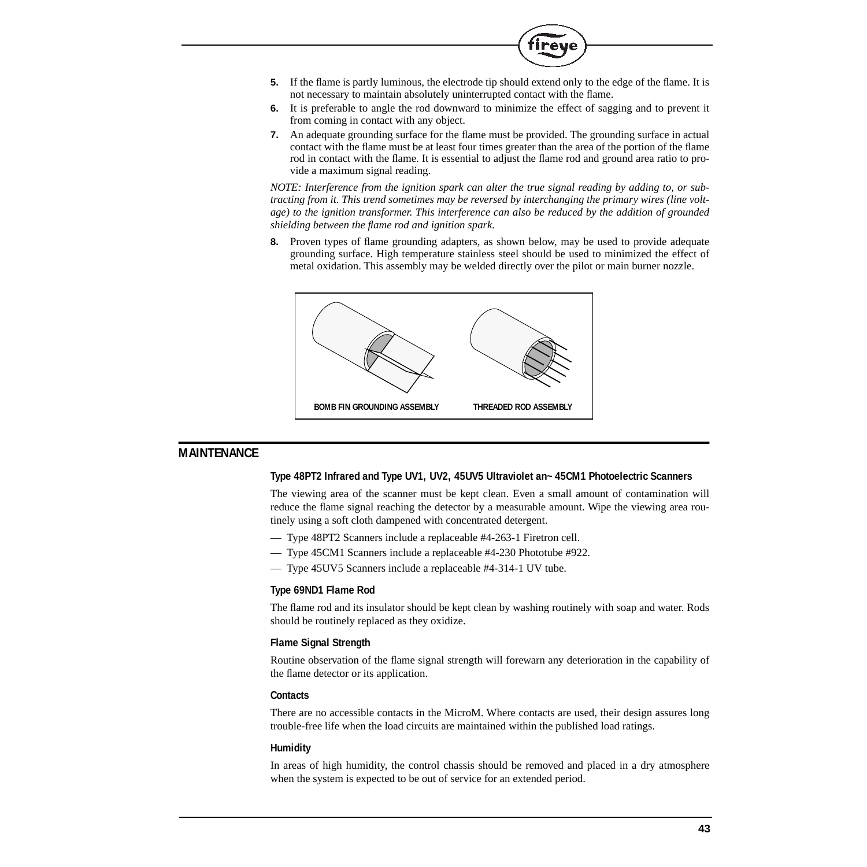

 $^{\circledR}$ 

- **6.** It is preferable to angle the rod downward to minimize the effect of sagging and to prevent it from coming in contact with any object.
- **7.** An adequate grounding surface for the flame must be provided. The grounding surface in actual contact with the flame must be at least four times greater than the area of the portion of the flame rod in contact with the flame. It is essential to adjust the flame rod and ground area ratio to provide a maximum signal reading.

*NOTE: Interference from the ignition spark can alter the true signal reading by adding to, or subtracting from it. This trend sometimes may be reversed by interchanging the primary wires (line voltage) to the ignition transformer. This interference can also be reduced by the addition of grounded shielding between the flame rod and ignition spark.*

**8.** Proven types of flame grounding adapters, as shown below, may be used to provide adequate grounding surface. High temperature stainless steel should be used to minimized the effect of metal oxidation. This assembly may be welded directly over the pilot or main burner nozzle.



#### **MAINTENANCE**

#### **Type 48PT2 Infrared and Type UV1, UV2, 45UV5 Ultraviolet an~ 45CM1 Photoelectric Scanners**

The viewing area of the scanner must be kept clean. Even a small amount of contamination will reduce the flame signal reaching the detector by a measurable amount. Wipe the viewing area routinely using a soft cloth dampened with concentrated detergent.

- Type 48PT2 Scanners include a replaceable #4-263-1 Firetron cell.
- Type 45CM1 Scanners include a replaceable #4-230 Phototube #922.
- Type 45UV5 Scanners include a replaceable #4-314-1 UV tube.

#### **Type 69ND1 Flame Rod**

The flame rod and its insulator should be kept clean by washing routinely with soap and water. Rods should be routinely replaced as they oxidize.

#### **Flame Signal Strength**

Routine observation of the flame signal strength will forewarn any deterioration in the capability of the flame detector or its application.

#### **Contacts**

There are no accessible contacts in the MicroM. Where contacts are used, their design assures long trouble-free life when the load circuits are maintained within the published load ratings.

#### **Humidity**

In areas of high humidity, the control chassis should be removed and placed in a dry atmosphere when the system is expected to be out of service for an extended period.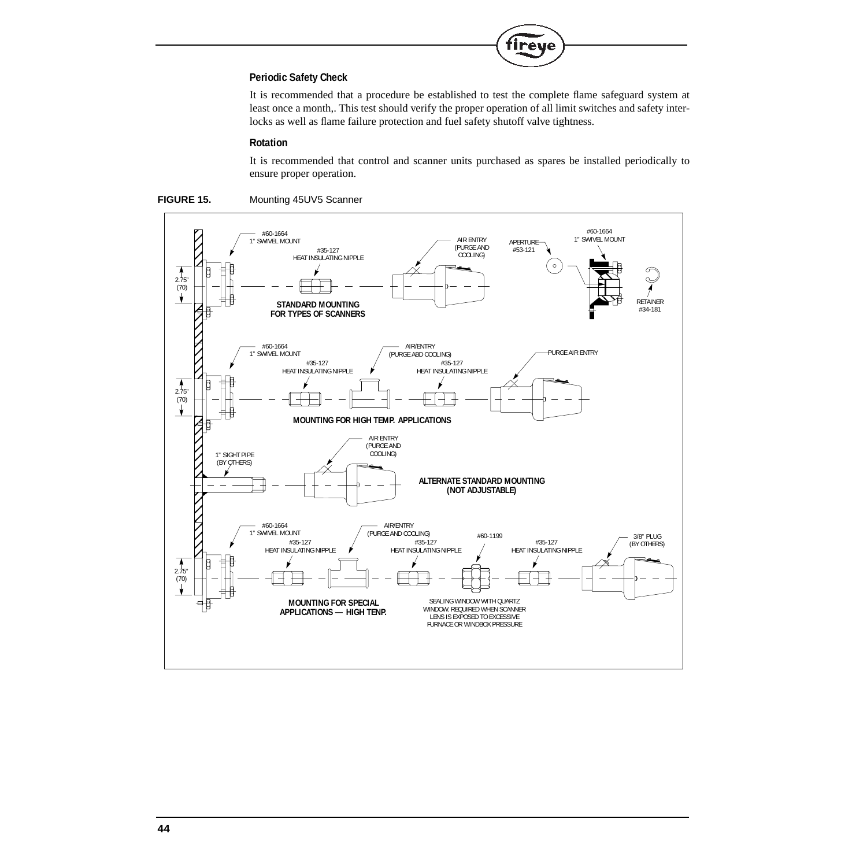#### **Periodic Safety Check**

It is recommended that a procedure be established to test the complete flame safeguard system at least once a month,. This test should verify the proper operation of all limit switches and safety interlocks as well as flame failure protection and fuel safety shutoff valve tightness.

 $^\circledR$ 

**ireve** 

#### **Rotation**

It is recommended that control and scanner units purchased as spares be installed periodically to ensure proper operation.



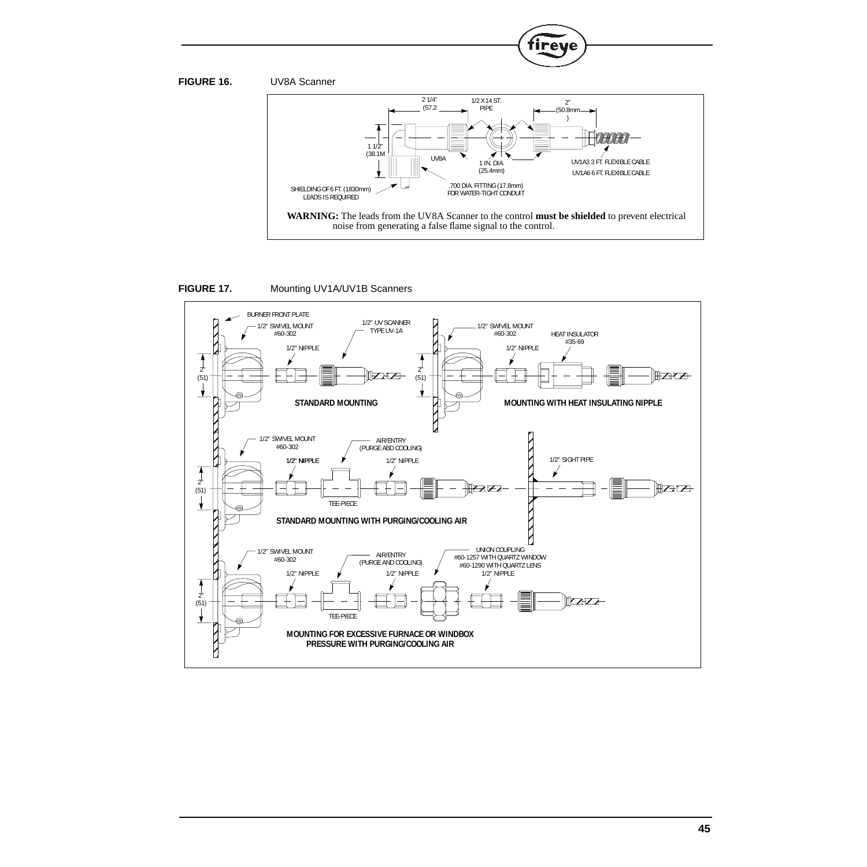



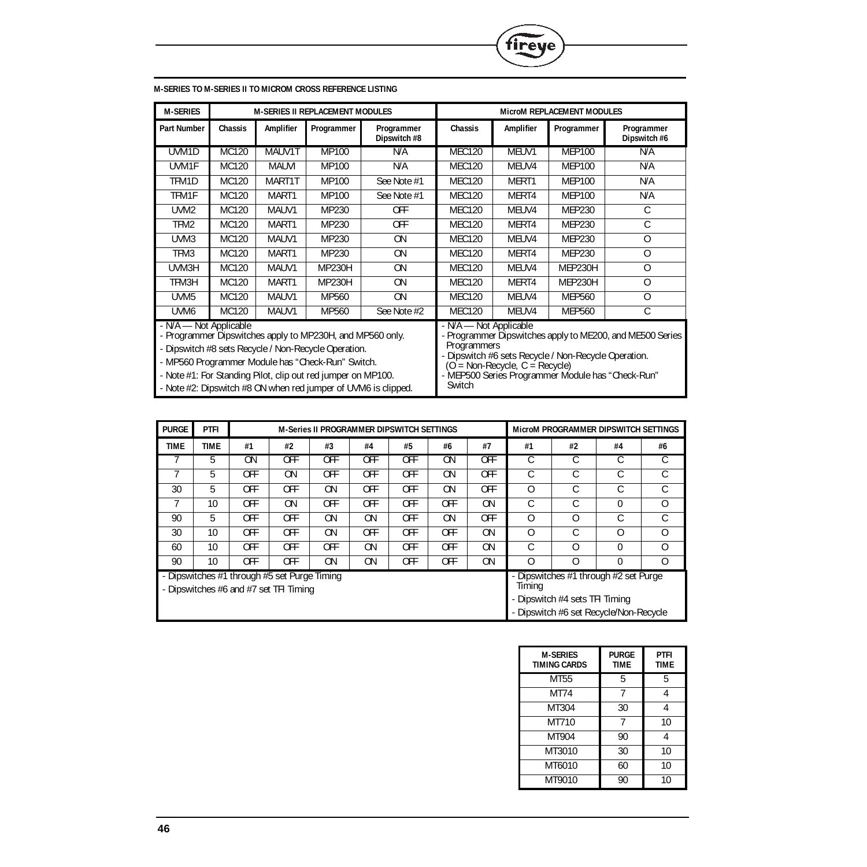**M-SERIES TO M-SERIES II TO MICROM CROSS REFERENCE LISTING**

- MP560 Programmer Module has "Check-Run" Switch.

- Note #1: For Standing Pilot, clip out red jumper on MP100.

- Note #2: Dipswitch #8 ON when red jumper of UVM6 is clipped.

 $(O = Non-Recycle, C = Recycle)$ MEP500 Series Programmer Module has "Check-Run" **Switch** 

Dipswitch #6 sets Recycle / Non-Recycle Operation.

 $\circledR$ 

ireve

| <b>PURGE</b> | <b>PTFI</b>                                                                          | <b>M-Series II PROGRAMMER DIPSWITCH SETTINGS</b> |            |            |            |            |            |            |             |                                | MicroM PROGRAMMER DIPSWITCH SETTINGS                                          |          |
|--------------|--------------------------------------------------------------------------------------|--------------------------------------------------|------------|------------|------------|------------|------------|------------|-------------|--------------------------------|-------------------------------------------------------------------------------|----------|
| TIME         | TIME                                                                                 | #1                                               | #2         | #3         | #4         | #5         | #6         | #7         | #1          | #2                             | #4                                                                            | #6       |
|              | 5                                                                                    | <b>ON</b>                                        | <b>OFF</b> | OFF        | <b>OFF</b> | <b>OFF</b> | <b>ON</b>  | <b>OFF</b> | ⌒<br>U      | C                              | C                                                                             | C        |
|              | 5                                                                                    | <b>OFF</b>                                       | <b>ON</b>  | OFF        | <b>OFF</b> | <b>OFF</b> | ON         | 0FF        | С           | C                              | C                                                                             | C        |
| 30           | 5                                                                                    | <b>OFF</b>                                       | 0FF        | ON         | <b>OFF</b> | <b>OFF</b> | <b>ON</b>  | 0FF        | 0           | C                              | C                                                                             | C        |
|              | 10                                                                                   | <b>OFF</b>                                       | <b>ON</b>  | <b>OFF</b> | <b>OFF</b> | <b>OFF</b> | <b>OFF</b> | <b>ON</b>  | $\sim$<br>Ċ | C                              | $\Omega$                                                                      | $\Omega$ |
| 90           | 5                                                                                    | <b>OFF</b>                                       | <b>OFF</b> | <b>ON</b>  | <b>ON</b>  | <b>OFF</b> | <b>ON</b>  | <b>OFF</b> | 0           | $\Omega$                       | C                                                                             | C        |
| 30           | 10                                                                                   | <b>OFF</b>                                       | <b>OFF</b> | <b>ON</b>  | <b>OFF</b> | <b>OFF</b> | <b>OFF</b> | <b>ON</b>  | 0           | C                              | $\Omega$                                                                      | $\Omega$ |
| 60           | 10                                                                                   | <b>OFF</b>                                       | 0FF        | <b>OFF</b> | ON         | <b>OFF</b> | 0FF        | <b>ON</b>  | ⌒<br>Ċ      | $\Omega$                       | $\Omega$                                                                      | 0        |
| 90           | 10                                                                                   | <b>OFF</b>                                       | <b>OFF</b> | <b>ON</b>  | <b>ON</b>  | <b>OFF</b> | <b>OFF</b> | <b>ON</b>  | 0           | $\Omega$                       | $\theta$                                                                      | $\Omega$ |
|              | Dipswitches #1 through #5 set Purge Timing<br>- Dipswitches #6 and #7 set TFI Timing |                                                  |            |            |            |            |            |            | Timing      | - Dipswitch #4 sets TFI Timing | Dipswitches #1 through #2 set Purge<br>- Dipswitch #6 set Recycle/Non-Recycle |          |

| <b>M-SERIES</b><br><b>TIMING CARDS</b> | <b>PURGE</b><br><b>TIME</b> | <b>PTFI</b><br><b>TIME</b> |
|----------------------------------------|-----------------------------|----------------------------|
| MT55                                   | 5                           | 5                          |
| MT74                                   |                             | Δ                          |
| MT304                                  | 30                          | 4                          |
| MT710                                  |                             | 10                         |
| MT904                                  | 90                          | Δ                          |
| MT3010                                 | 30                          | 10                         |
| MT6010                                 | 60                          | 10                         |
| MT9010                                 | 90                          | 10                         |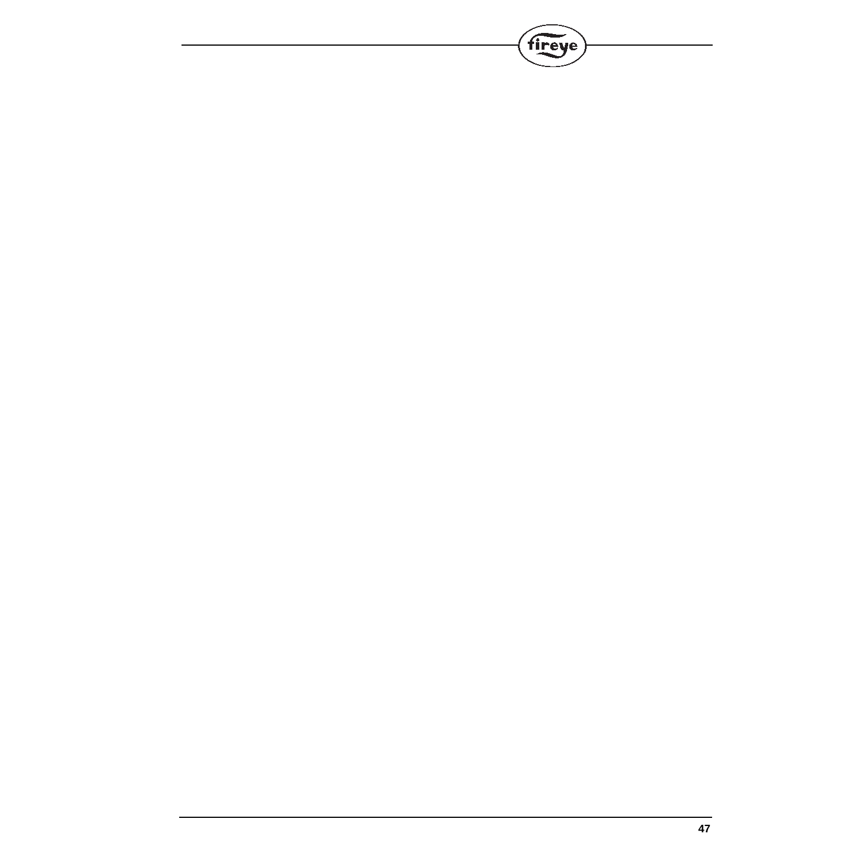